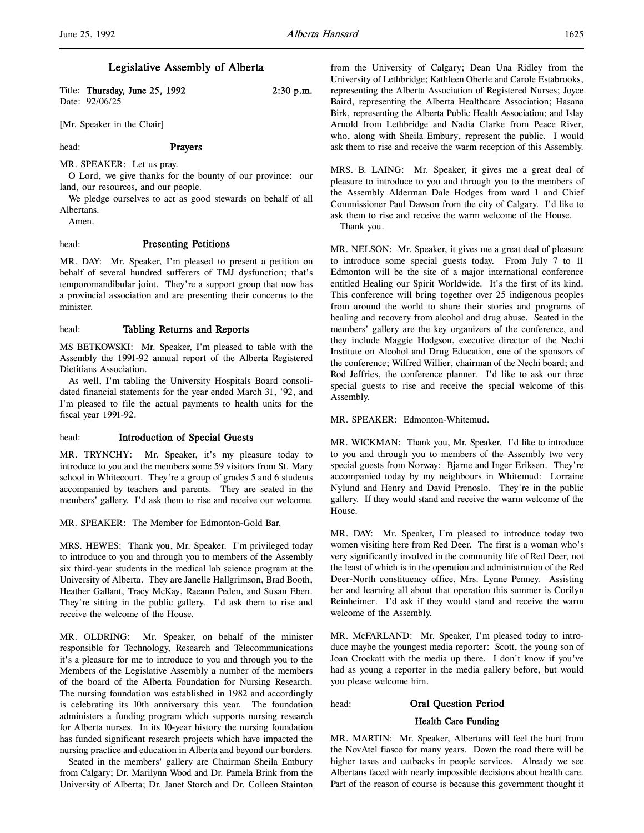| Title: Thursday, June 25, 1992 | $2:30$ p.m. |
|--------------------------------|-------------|
| Date: 92/06/25                 |             |

[Mr. Speaker in the Chair]

head: Prayers

MR. SPEAKER: Let us pray.

O Lord, we give thanks for the bounty of our province: our land, our resources, and our people.

We pledge ourselves to act as good stewards on behalf of all Albertans.

Amen.

# head: Presenting Petitions

MR. DAY: Mr. Speaker, I'm pleased to present a petition on behalf of several hundred sufferers of TMJ dysfunction; that's temporomandibular joint. They're a support group that now has a provincial association and are presenting their concerns to the minister.

# head: Tabling Returns and Reports

MS BETKOWSKI: Mr. Speaker, I'm pleased to table with the Assembly the 1991-92 annual report of the Alberta Registered Dietitians Association.

As well, I'm tabling the University Hospitals Board consolidated financial statements for the year ended March 31, '92, and I'm pleased to file the actual payments to health units for the fiscal year 1991-92.

#### head: **Introduction of Special Guests**

MR. TRYNCHY: Mr. Speaker, it's my pleasure today to introduce to you and the members some 59 visitors from St. Mary school in Whitecourt. They're a group of grades 5 and 6 students accompanied by teachers and parents. They are seated in the members' gallery. I'd ask them to rise and receive our welcome.

MR. SPEAKER: The Member for Edmonton-Gold Bar.

MRS. HEWES: Thank you, Mr. Speaker. I'm privileged today to introduce to you and through you to members of the Assembly six third-year students in the medical lab science program at the University of Alberta. They are Janelle Hallgrimson, Brad Booth, Heather Gallant, Tracy McKay, Raeann Peden, and Susan Eben. They're sitting in the public gallery. I'd ask them to rise and receive the welcome of the House.

MR. OLDRING: Mr. Speaker, on behalf of the minister responsible for Technology, Research and Telecommunications it's a pleasure for me to introduce to you and through you to the Members of the Legislative Assembly a number of the members of the board of the Alberta Foundation for Nursing Research. The nursing foundation was established in 1982 and accordingly is celebrating its 10th anniversary this year. The foundation administers a funding program which supports nursing research for Alberta nurses. In its 10-year history the nursing foundation has funded significant research projects which have impacted the nursing practice and education in Alberta and beyond our borders.

Seated in the members' gallery are Chairman Sheila Embury from Calgary; Dr. Marilynn Wood and Dr. Pamela Brink from the University of Alberta; Dr. Janet Storch and Dr. Colleen Stainton from the University of Calgary; Dean Una Ridley from the University of Lethbridge; Kathleen Oberle and Carole Estabrooks, representing the Alberta Association of Registered Nurses; Joyce Baird, representing the Alberta Healthcare Association; Hasana Birk, representing the Alberta Public Health Association; and Islay Arnold from Lethbridge and Nadia Clarke from Peace River, who, along with Sheila Embury, represent the public. I would ask them to rise and receive the warm reception of this Assembly.

MRS. B. LAING: Mr. Speaker, it gives me a great deal of pleasure to introduce to you and through you to the members of the Assembly Alderman Dale Hodges from ward 1 and Chief Commissioner Paul Dawson from the city of Calgary. I'd like to ask them to rise and receive the warm welcome of the House.

Thank you.

MR. NELSON: Mr. Speaker, it gives me a great deal of pleasure to introduce some special guests today. From July 7 to 11 Edmonton will be the site of a major international conference entitled Healing our Spirit Worldwide. It's the first of its kind. This conference will bring together over 25 indigenous peoples from around the world to share their stories and programs of healing and recovery from alcohol and drug abuse. Seated in the members' gallery are the key organizers of the conference, and they include Maggie Hodgson, executive director of the Nechi Institute on Alcohol and Drug Education, one of the sponsors of the conference; Wilfred Willier, chairman of the Nechi board; and Rod Jeffries, the conference planner. I'd like to ask our three special guests to rise and receive the special welcome of this Assembly.

MR. SPEAKER: Edmonton-Whitemud.

MR. WICKMAN: Thank you, Mr. Speaker. I'd like to introduce to you and through you to members of the Assembly two very special guests from Norway: Bjarne and Inger Eriksen. They're accompanied today by my neighbours in Whitemud: Lorraine Nylund and Henry and David Prenoslo. They're in the public gallery. If they would stand and receive the warm welcome of the House.

MR. DAY: Mr. Speaker, I'm pleased to introduce today two women visiting here from Red Deer. The first is a woman who's very significantly involved in the community life of Red Deer, not the least of which is in the operation and administration of the Red Deer-North constituency office, Mrs. Lynne Penney. Assisting her and learning all about that operation this summer is Corilyn Reinheimer. I'd ask if they would stand and receive the warm welcome of the Assembly.

MR. McFARLAND: Mr. Speaker, I'm pleased today to introduce maybe the youngest media reporter: Scott, the young son of Joan Crockatt with the media up there. I don't know if you've had as young a reporter in the media gallery before, but would you please welcome him.

#### head: Oral Question Period

# Health Care Funding

MR. MARTIN: Mr. Speaker, Albertans will feel the hurt from the NovAtel fiasco for many years. Down the road there will be higher taxes and cutbacks in people services. Already we see Albertans faced with nearly impossible decisions about health care. Part of the reason of course is because this government thought it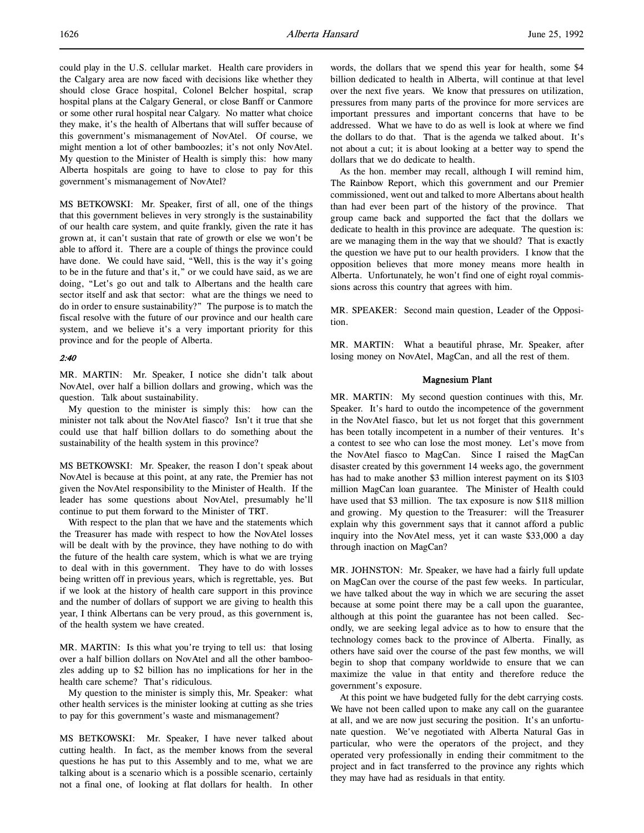could play in the U.S. cellular market. Health care providers in the Calgary area are now faced with decisions like whether they should close Grace hospital, Colonel Belcher hospital, scrap hospital plans at the Calgary General, or close Banff or Canmore or some other rural hospital near Calgary. No matter what choice they make, it's the health of Albertans that will suffer because of this government's mismanagement of NovAtel. Of course, we might mention a lot of other bamboozles; it's not only NovAtel. My question to the Minister of Health is simply this: how many Alberta hospitals are going to have to close to pay for this government's mismanagement of NovAtel?

MS BETKOWSKI: Mr. Speaker, first of all, one of the things that this government believes in very strongly is the sustainability of our health care system, and quite frankly, given the rate it has grown at, it can't sustain that rate of growth or else we won't be able to afford it. There are a couple of things the province could have done. We could have said, "Well, this is the way it's going to be in the future and that's it," or we could have said, as we are doing, "Let's go out and talk to Albertans and the health care sector itself and ask that sector: what are the things we need to do in order to ensure sustainability?" The purpose is to match the fiscal resolve with the future of our province and our health care system, and we believe it's a very important priority for this province and for the people of Alberta.

# 2:40

MR. MARTIN: Mr. Speaker, I notice she didn't talk about NovAtel, over half a billion dollars and growing, which was the question. Talk about sustainability.

My question to the minister is simply this: how can the minister not talk about the NovAtel fiasco? Isn't it true that she could use that half billion dollars to do something about the sustainability of the health system in this province?

MS BETKOWSKI: Mr. Speaker, the reason I don't speak about NovAtel is because at this point, at any rate, the Premier has not given the NovAtel responsibility to the Minister of Health. If the leader has some questions about NovAtel, presumably he'll continue to put them forward to the Minister of TRT.

With respect to the plan that we have and the statements which the Treasurer has made with respect to how the NovAtel losses will be dealt with by the province, they have nothing to do with the future of the health care system, which is what we are trying to deal with in this government. They have to do with losses being written off in previous years, which is regrettable, yes. But if we look at the history of health care support in this province and the number of dollars of support we are giving to health this year, I think Albertans can be very proud, as this government is, of the health system we have created.

MR. MARTIN: Is this what you're trying to tell us: that losing over a half billion dollars on NovAtel and all the other bamboozles adding up to \$2 billion has no implications for her in the health care scheme? That's ridiculous.

My question to the minister is simply this, Mr. Speaker: what other health services is the minister looking at cutting as she tries to pay for this government's waste and mismanagement?

MS BETKOWSKI: Mr. Speaker, I have never talked about cutting health. In fact, as the member knows from the several questions he has put to this Assembly and to me, what we are talking about is a scenario which is a possible scenario, certainly not a final one, of looking at flat dollars for health. In other

words, the dollars that we spend this year for health, some \$4 billion dedicated to health in Alberta, will continue at that level over the next five years. We know that pressures on utilization, pressures from many parts of the province for more services are important pressures and important concerns that have to be addressed. What we have to do as well is look at where we find the dollars to do that. That is the agenda we talked about. It's not about a cut; it is about looking at a better way to spend the dollars that we do dedicate to health.

As the hon. member may recall, although I will remind him, The Rainbow Report, which this government and our Premier commissioned, went out and talked to more Albertans about health than had ever been part of the history of the province. That group came back and supported the fact that the dollars we dedicate to health in this province are adequate. The question is: are we managing them in the way that we should? That is exactly the question we have put to our health providers. I know that the opposition believes that more money means more health in Alberta. Unfortunately, he won't find one of eight royal commissions across this country that agrees with him.

MR. SPEAKER: Second main question, Leader of the Opposition.

MR. MARTIN: What a beautiful phrase, Mr. Speaker, after losing money on NovAtel, MagCan, and all the rest of them.

# Magnesium Plant

MR. MARTIN: My second question continues with this, Mr. Speaker. It's hard to outdo the incompetence of the government in the NovAtel fiasco, but let us not forget that this government has been totally incompetent in a number of their ventures. It's a contest to see who can lose the most money. Let's move from the NovAtel fiasco to MagCan. Since I raised the MagCan disaster created by this government 14 weeks ago, the government has had to make another \$3 million interest payment on its \$103 million MagCan loan guarantee. The Minister of Health could have used that \$3 million. The tax exposure is now \$118 million and growing. My question to the Treasurer: will the Treasurer explain why this government says that it cannot afford a public inquiry into the NovAtel mess, yet it can waste \$33,000 a day through inaction on MagCan?

MR. JOHNSTON: Mr. Speaker, we have had a fairly full update on MagCan over the course of the past few weeks. In particular, we have talked about the way in which we are securing the asset because at some point there may be a call upon the guarantee, although at this point the guarantee has not been called. Secondly, we are seeking legal advice as to how to ensure that the technology comes back to the province of Alberta. Finally, as others have said over the course of the past few months, we will begin to shop that company worldwide to ensure that we can maximize the value in that entity and therefore reduce the government's exposure.

At this point we have budgeted fully for the debt carrying costs. We have not been called upon to make any call on the guarantee at all, and we are now just securing the position. It's an unfortunate question. We've negotiated with Alberta Natural Gas in particular, who were the operators of the project, and they operated very professionally in ending their commitment to the project and in fact transferred to the province any rights which they may have had as residuals in that entity.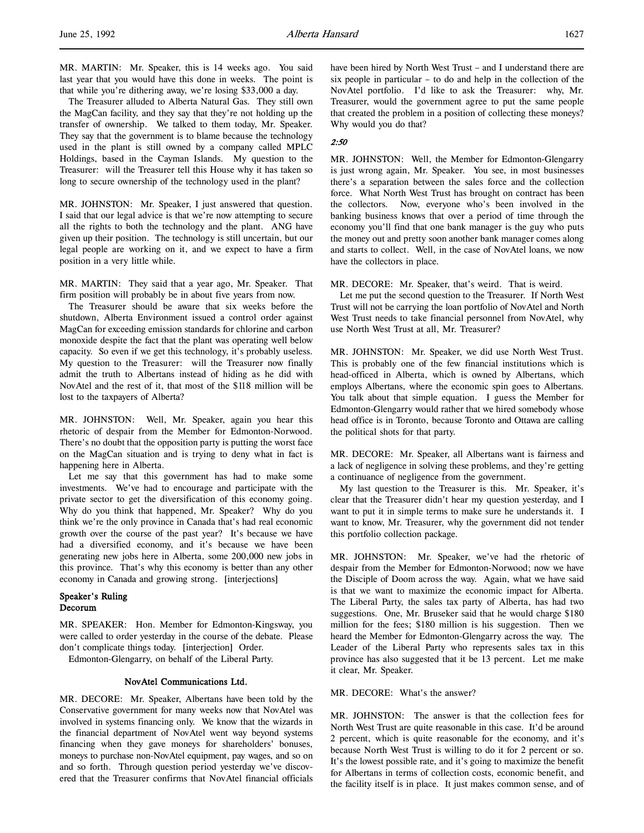The Treasurer alluded to Alberta Natural Gas. They still own the MagCan facility, and they say that they're not holding up the transfer of ownership. We talked to them today, Mr. Speaker. They say that the government is to blame because the technology used in the plant is still owned by a company called MPLC Holdings, based in the Cayman Islands. My question to the Treasurer: will the Treasurer tell this House why it has taken so long to secure ownership of the technology used in the plant?

MR. JOHNSTON: Mr. Speaker, I just answered that question. I said that our legal advice is that we're now attempting to secure all the rights to both the technology and the plant. ANG have given up their position. The technology is still uncertain, but our legal people are working on it, and we expect to have a firm position in a very little while.

MR. MARTIN: They said that a year ago, Mr. Speaker. That firm position will probably be in about five years from now.

The Treasurer should be aware that six weeks before the shutdown, Alberta Environment issued a control order against MagCan for exceeding emission standards for chlorine and carbon monoxide despite the fact that the plant was operating well below capacity. So even if we get this technology, it's probably useless. My question to the Treasurer: will the Treasurer now finally admit the truth to Albertans instead of hiding as he did with NovAtel and the rest of it, that most of the \$118 million will be lost to the taxpayers of Alberta?

MR. JOHNSTON: Well, Mr. Speaker, again you hear this rhetoric of despair from the Member for Edmonton-Norwood. There's no doubt that the opposition party is putting the worst face on the MagCan situation and is trying to deny what in fact is happening here in Alberta.

Let me say that this government has had to make some investments. We've had to encourage and participate with the private sector to get the diversification of this economy going. Why do you think that happened, Mr. Speaker? Why do you think we're the only province in Canada that's had real economic growth over the course of the past year? It's because we have had a diversified economy, and it's because we have been generating new jobs here in Alberta, some 200,000 new jobs in this province. That's why this economy is better than any other economy in Canada and growing strong. [interjections]

# Speaker's Ruling Decorum

MR. SPEAKER: Hon. Member for Edmonton-Kingsway, you were called to order yesterday in the course of the debate. Please don't complicate things today. [interjection] Order.

Edmonton-Glengarry, on behalf of the Liberal Party.

# NovAtel Communications Ltd.

MR. DECORE: Mr. Speaker, Albertans have been told by the Conservative government for many weeks now that NovAtel was involved in systems financing only. We know that the wizards in the financial department of NovAtel went way beyond systems financing when they gave moneys for shareholders' bonuses, moneys to purchase non-NovAtel equipment, pay wages, and so on and so forth. Through question period yesterday we've discovered that the Treasurer confirms that NovAtel financial officials have been hired by North West Trust – and I understand there are six people in particular – to do and help in the collection of the NovAtel portfolio. I'd like to ask the Treasurer: why, Mr. Treasurer, would the government agree to put the same people that created the problem in a position of collecting these moneys? Why would you do that?

# 2:50

MR. JOHNSTON: Well, the Member for Edmonton-Glengarry is just wrong again, Mr. Speaker. You see, in most businesses there's a separation between the sales force and the collection force. What North West Trust has brought on contract has been the collectors. Now, everyone who's been involved in the banking business knows that over a period of time through the economy you'll find that one bank manager is the guy who puts the money out and pretty soon another bank manager comes along and starts to collect. Well, in the case of NovAtel loans, we now have the collectors in place.

MR. DECORE: Mr. Speaker, that's weird. That is weird.

Let me put the second question to the Treasurer. If North West Trust will not be carrying the loan portfolio of NovAtel and North West Trust needs to take financial personnel from NovAtel, why use North West Trust at all, Mr. Treasurer?

MR. JOHNSTON: Mr. Speaker, we did use North West Trust. This is probably one of the few financial institutions which is head-officed in Alberta, which is owned by Albertans, which employs Albertans, where the economic spin goes to Albertans. You talk about that simple equation. I guess the Member for Edmonton-Glengarry would rather that we hired somebody whose head office is in Toronto, because Toronto and Ottawa are calling the political shots for that party.

MR. DECORE: Mr. Speaker, all Albertans want is fairness and a lack of negligence in solving these problems, and they're getting a continuance of negligence from the government.

My last question to the Treasurer is this. Mr. Speaker, it's clear that the Treasurer didn't hear my question yesterday, and I want to put it in simple terms to make sure he understands it. I want to know, Mr. Treasurer, why the government did not tender this portfolio collection package.

MR. JOHNSTON: Mr. Speaker, we've had the rhetoric of despair from the Member for Edmonton-Norwood; now we have the Disciple of Doom across the way. Again, what we have said is that we want to maximize the economic impact for Alberta. The Liberal Party, the sales tax party of Alberta, has had two suggestions. One, Mr. Bruseker said that he would charge \$180 million for the fees; \$180 million is his suggestion. Then we heard the Member for Edmonton-Glengarry across the way. The Leader of the Liberal Party who represents sales tax in this province has also suggested that it be 13 percent. Let me make it clear, Mr. Speaker.

MR. DECORE: What's the answer?

MR. JOHNSTON: The answer is that the collection fees for North West Trust are quite reasonable in this case. It'd be around 2 percent, which is quite reasonable for the economy, and it's because North West Trust is willing to do it for 2 percent or so. It's the lowest possible rate, and it's going to maximize the benefit for Albertans in terms of collection costs, economic benefit, and the facility itself is in place. It just makes common sense, and of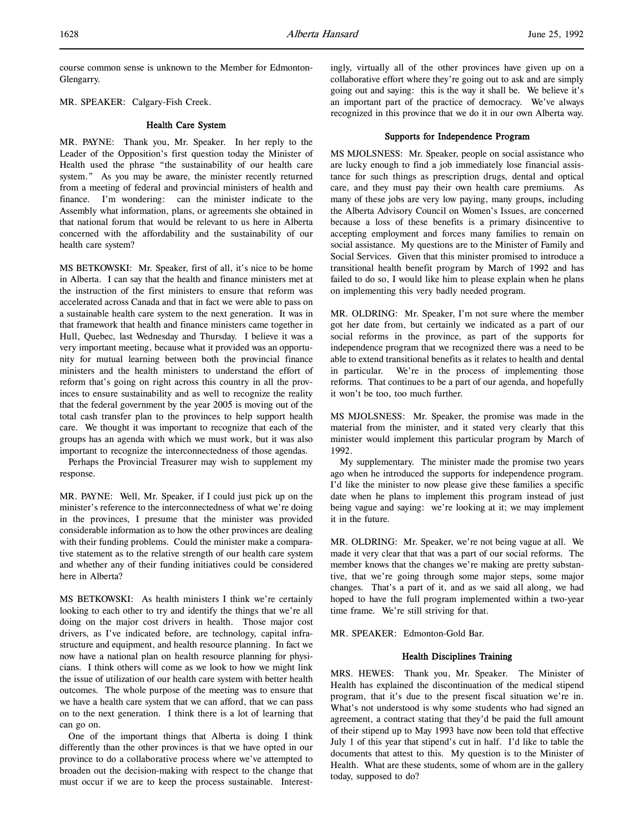course common sense is unknown to the Member for Edmonton-Glengarry.

MR. SPEAKER: Calgary-Fish Creek.

# Health Care System

MR. PAYNE: Thank you, Mr. Speaker. In her reply to the Leader of the Opposition's first question today the Minister of Health used the phrase "the sustainability of our health care system." As you may be aware, the minister recently returned from a meeting of federal and provincial ministers of health and finance. I'm wondering: can the minister indicate to the Assembly what information, plans, or agreements she obtained in that national forum that would be relevant to us here in Alberta concerned with the affordability and the sustainability of our health care system?

MS BETKOWSKI: Mr. Speaker, first of all, it's nice to be home in Alberta. I can say that the health and finance ministers met at the instruction of the first ministers to ensure that reform was accelerated across Canada and that in fact we were able to pass on a sustainable health care system to the next generation. It was in that framework that health and finance ministers came together in Hull, Quebec, last Wednesday and Thursday. I believe it was a very important meeting, because what it provided was an opportunity for mutual learning between both the provincial finance ministers and the health ministers to understand the effort of reform that's going on right across this country in all the provinces to ensure sustainability and as well to recognize the reality that the federal government by the year 2005 is moving out of the total cash transfer plan to the provinces to help support health care. We thought it was important to recognize that each of the groups has an agenda with which we must work, but it was also important to recognize the interconnectedness of those agendas.

Perhaps the Provincial Treasurer may wish to supplement my response.

MR. PAYNE: Well, Mr. Speaker, if I could just pick up on the minister's reference to the interconnectedness of what we're doing in the provinces, I presume that the minister was provided considerable information as to how the other provinces are dealing with their funding problems. Could the minister make a comparative statement as to the relative strength of our health care system and whether any of their funding initiatives could be considered here in Alberta?

MS BETKOWSKI: As health ministers I think we're certainly looking to each other to try and identify the things that we're all doing on the major cost drivers in health. Those major cost drivers, as I've indicated before, are technology, capital infrastructure and equipment, and health resource planning. In fact we now have a national plan on health resource planning for physicians. I think others will come as we look to how we might link the issue of utilization of our health care system with better health outcomes. The whole purpose of the meeting was to ensure that we have a health care system that we can afford, that we can pass on to the next generation. I think there is a lot of learning that can go on.

One of the important things that Alberta is doing I think differently than the other provinces is that we have opted in our province to do a collaborative process where we've attempted to broaden out the decision-making with respect to the change that must occur if we are to keep the process sustainable. Interestingly, virtually all of the other provinces have given up on a collaborative effort where they're going out to ask and are simply going out and saying: this is the way it shall be. We believe it's an important part of the practice of democracy. We've always recognized in this province that we do it in our own Alberta way.

#### Supports for Independence Program

MS MJOLSNESS: Mr. Speaker, people on social assistance who are lucky enough to find a job immediately lose financial assistance for such things as prescription drugs, dental and optical care, and they must pay their own health care premiums. As many of these jobs are very low paying, many groups, including the Alberta Advisory Council on Women's Issues, are concerned because a loss of these benefits is a primary disincentive to accepting employment and forces many families to remain on social assistance. My questions are to the Minister of Family and Social Services. Given that this minister promised to introduce a transitional health benefit program by March of 1992 and has failed to do so, I would like him to please explain when he plans on implementing this very badly needed program.

MR. OLDRING: Mr. Speaker, I'm not sure where the member got her date from, but certainly we indicated as a part of our social reforms in the province, as part of the supports for independence program that we recognized there was a need to be able to extend transitional benefits as it relates to health and dental in particular. We're in the process of implementing those reforms. That continues to be a part of our agenda, and hopefully it won't be too, too much further.

MS MJOLSNESS: Mr. Speaker, the promise was made in the material from the minister, and it stated very clearly that this minister would implement this particular program by March of 1992.

My supplementary. The minister made the promise two years ago when he introduced the supports for independence program. I'd like the minister to now please give these families a specific date when he plans to implement this program instead of just being vague and saying: we're looking at it; we may implement it in the future.

MR. OLDRING: Mr. Speaker, we're not being vague at all. We made it very clear that that was a part of our social reforms. The member knows that the changes we're making are pretty substantive, that we're going through some major steps, some major changes. That's a part of it, and as we said all along, we had hoped to have the full program implemented within a two-year time frame. We're still striving for that.

MR. SPEAKER: Edmonton-Gold Bar.

# Health Disciplines Training

MRS. HEWES: Thank you, Mr. Speaker. The Minister of Health has explained the discontinuation of the medical stipend program, that it's due to the present fiscal situation we're in. What's not understood is why some students who had signed an agreement, a contract stating that they'd be paid the full amount of their stipend up to May 1993 have now been told that effective July 1 of this year that stipend's cut in half. I'd like to table the documents that attest to this. My question is to the Minister of Health. What are these students, some of whom are in the gallery today, supposed to do?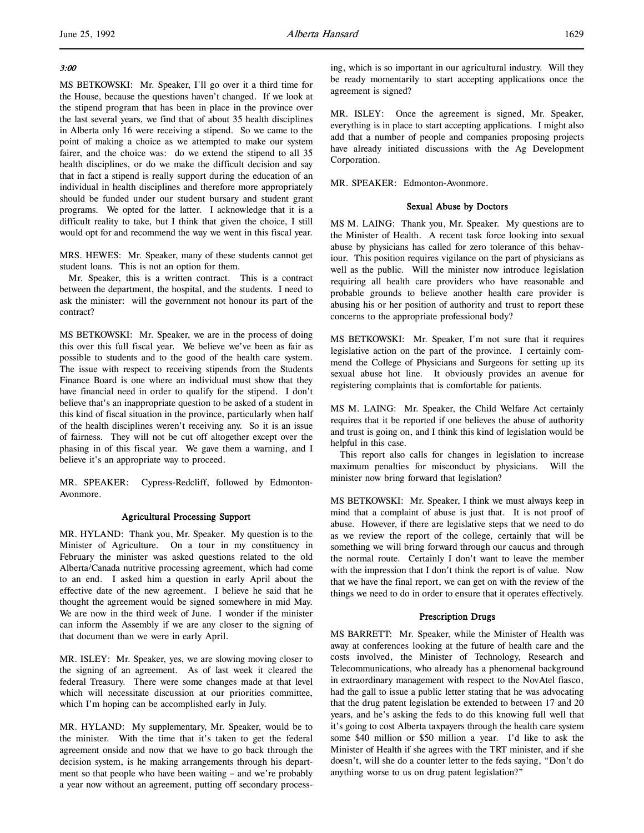# 3:00

l,

MS BETKOWSKI: Mr. Speaker, I'll go over it a third time for the House, because the questions haven't changed. If we look at the stipend program that has been in place in the province over the last several years, we find that of about 35 health disciplines in Alberta only 16 were receiving a stipend. So we came to the point of making a choice as we attempted to make our system fairer, and the choice was: do we extend the stipend to all 35 health disciplines, or do we make the difficult decision and say that in fact a stipend is really support during the education of an individual in health disciplines and therefore more appropriately should be funded under our student bursary and student grant programs. We opted for the latter. I acknowledge that it is a difficult reality to take, but I think that given the choice, I still would opt for and recommend the way we went in this fiscal year.

MRS. HEWES: Mr. Speaker, many of these students cannot get student loans. This is not an option for them.

Mr. Speaker, this is a written contract. This is a contract between the department, the hospital, and the students. I need to ask the minister: will the government not honour its part of the contract?

MS BETKOWSKI: Mr. Speaker, we are in the process of doing this over this full fiscal year. We believe we've been as fair as possible to students and to the good of the health care system. The issue with respect to receiving stipends from the Students Finance Board is one where an individual must show that they have financial need in order to qualify for the stipend. I don't believe that's an inappropriate question to be asked of a student in this kind of fiscal situation in the province, particularly when half of the health disciplines weren't receiving any. So it is an issue of fairness. They will not be cut off altogether except over the phasing in of this fiscal year. We gave them a warning, and I believe it's an appropriate way to proceed.

MR. SPEAKER: Cypress-Redcliff, followed by Edmonton-Avonmore.

# Agricultural Processing Support

MR. HYLAND: Thank you, Mr. Speaker. My question is to the Minister of Agriculture. On a tour in my constituency in February the minister was asked questions related to the old Alberta/Canada nutritive processing agreement, which had come to an end. I asked him a question in early April about the effective date of the new agreement. I believe he said that he thought the agreement would be signed somewhere in mid May. We are now in the third week of June. I wonder if the minister can inform the Assembly if we are any closer to the signing of that document than we were in early April.

MR. ISLEY: Mr. Speaker, yes, we are slowing moving closer to the signing of an agreement. As of last week it cleared the federal Treasury. There were some changes made at that level which will necessitate discussion at our priorities committee, which I'm hoping can be accomplished early in July.

MR. HYLAND: My supplementary, Mr. Speaker, would be to the minister. With the time that it's taken to get the federal agreement onside and now that we have to go back through the decision system, is he making arrangements through his department so that people who have been waiting – and we're probably a year now without an agreement, putting off secondary processing, which is so important in our agricultural industry. Will they be ready momentarily to start accepting applications once the agreement is signed?

MR. ISLEY: Once the agreement is signed, Mr. Speaker, everything is in place to start accepting applications. I might also add that a number of people and companies proposing projects have already initiated discussions with the Ag Development Corporation.

MR. SPEAKER: Edmonton-Avonmore.

# Sexual Abuse by Doctors

MS M. LAING: Thank you, Mr. Speaker. My questions are to the Minister of Health. A recent task force looking into sexual abuse by physicians has called for zero tolerance of this behaviour. This position requires vigilance on the part of physicians as well as the public. Will the minister now introduce legislation requiring all health care providers who have reasonable and probable grounds to believe another health care provider is abusing his or her position of authority and trust to report these concerns to the appropriate professional body?

MS BETKOWSKI: Mr. Speaker, I'm not sure that it requires legislative action on the part of the province. I certainly commend the College of Physicians and Surgeons for setting up its sexual abuse hot line. It obviously provides an avenue for registering complaints that is comfortable for patients.

MS M. LAING: Mr. Speaker, the Child Welfare Act certainly requires that it be reported if one believes the abuse of authority and trust is going on, and I think this kind of legislation would be helpful in this case.

This report also calls for changes in legislation to increase maximum penalties for misconduct by physicians. Will the minister now bring forward that legislation?

MS BETKOWSKI: Mr. Speaker, I think we must always keep in mind that a complaint of abuse is just that. It is not proof of abuse. However, if there are legislative steps that we need to do as we review the report of the college, certainly that will be something we will bring forward through our caucus and through the normal route. Certainly I don't want to leave the member with the impression that I don't think the report is of value. Now that we have the final report, we can get on with the review of the things we need to do in order to ensure that it operates effectively.

# Prescription Drugs

MS BARRETT: Mr. Speaker, while the Minister of Health was away at conferences looking at the future of health care and the costs involved, the Minister of Technology, Research and Telecommunications, who already has a phenomenal background in extraordinary management with respect to the NovAtel fiasco, had the gall to issue a public letter stating that he was advocating that the drug patent legislation be extended to between 17 and 20 years, and he's asking the feds to do this knowing full well that it's going to cost Alberta taxpayers through the health care system some \$40 million or \$50 million a year. I'd like to ask the Minister of Health if she agrees with the TRT minister, and if she doesn't, will she do a counter letter to the feds saying, "Don't do anything worse to us on drug patent legislation?"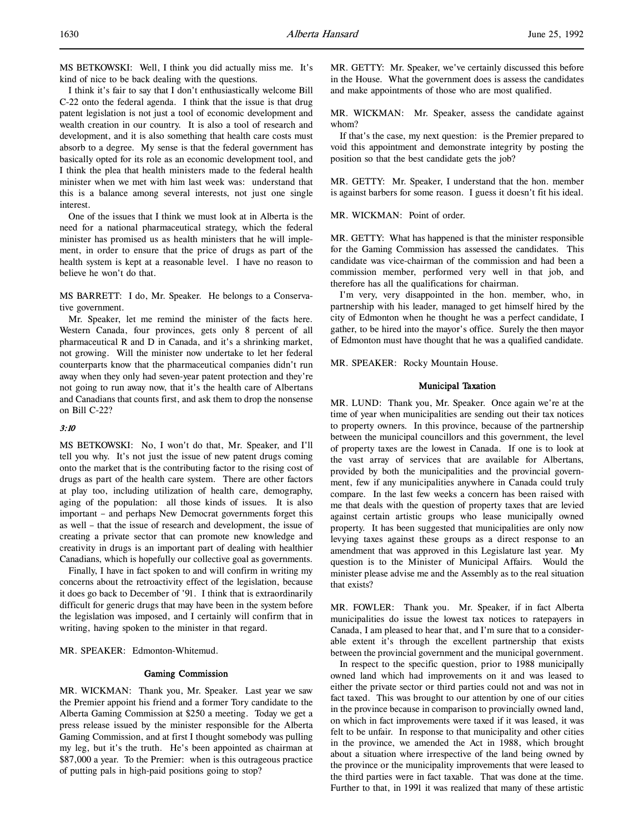MS BETKOWSKI: Well, I think you did actually miss me. It's kind of nice to be back dealing with the questions.

I think it's fair to say that I don't enthusiastically welcome Bill C-22 onto the federal agenda. I think that the issue is that drug patent legislation is not just a tool of economic development and wealth creation in our country. It is also a tool of research and development, and it is also something that health care costs must absorb to a degree. My sense is that the federal government has basically opted for its role as an economic development tool, and I think the plea that health ministers made to the federal health minister when we met with him last week was: understand that this is a balance among several interests, not just one single interest.

One of the issues that I think we must look at in Alberta is the need for a national pharmaceutical strategy, which the federal minister has promised us as health ministers that he will implement, in order to ensure that the price of drugs as part of the health system is kept at a reasonable level. I have no reason to believe he won't do that.

MS BARRETT: I do, Mr. Speaker. He belongs to a Conservative government.

Mr. Speaker, let me remind the minister of the facts here. Western Canada, four provinces, gets only 8 percent of all pharmaceutical R and D in Canada, and it's a shrinking market, not growing. Will the minister now undertake to let her federal counterparts know that the pharmaceutical companies didn't run away when they only had seven-year patent protection and they're not going to run away now, that it's the health care of Albertans and Canadians that counts first, and ask them to drop the nonsense on Bill C-22?

# 3:10

MS BETKOWSKI: No, I won't do that, Mr. Speaker, and I'll tell you why. It's not just the issue of new patent drugs coming onto the market that is the contributing factor to the rising cost of drugs as part of the health care system. There are other factors at play too, including utilization of health care, demography, aging of the population: all those kinds of issues. It is also important – and perhaps New Democrat governments forget this as well – that the issue of research and development, the issue of creating a private sector that can promote new knowledge and creativity in drugs is an important part of dealing with healthier Canadians, which is hopefully our collective goal as governments.

Finally, I have in fact spoken to and will confirm in writing my concerns about the retroactivity effect of the legislation, because it does go back to December of '91. I think that is extraordinarily difficult for generic drugs that may have been in the system before the legislation was imposed, and I certainly will confirm that in writing, having spoken to the minister in that regard.

MR. SPEAKER: Edmonton-Whitemud.

#### Gaming Commission

MR. WICKMAN: Thank you, Mr. Speaker. Last year we saw the Premier appoint his friend and a former Tory candidate to the Alberta Gaming Commission at \$250 a meeting. Today we get a press release issued by the minister responsible for the Alberta Gaming Commission, and at first I thought somebody was pulling my leg, but it's the truth. He's been appointed as chairman at \$87,000 a year. To the Premier: when is this outrageous practice of putting pals in high-paid positions going to stop?

MR. GETTY: Mr. Speaker, we've certainly discussed this before in the House. What the government does is assess the candidates and make appointments of those who are most qualified.

MR. WICKMAN: Mr. Speaker, assess the candidate against whom?

If that's the case, my next question: is the Premier prepared to void this appointment and demonstrate integrity by posting the position so that the best candidate gets the job?

MR. GETTY: Mr. Speaker, I understand that the hon. member is against barbers for some reason. I guess it doesn't fit his ideal.

MR. WICKMAN: Point of order.

MR. GETTY: What has happened is that the minister responsible for the Gaming Commission has assessed the candidates. This candidate was vice-chairman of the commission and had been a commission member, performed very well in that job, and therefore has all the qualifications for chairman.

I'm very, very disappointed in the hon. member, who, in partnership with his leader, managed to get himself hired by the city of Edmonton when he thought he was a perfect candidate, I gather, to be hired into the mayor's office. Surely the then mayor of Edmonton must have thought that he was a qualified candidate.

MR. SPEAKER: Rocky Mountain House.

#### Municipal Taxation

MR. LUND: Thank you, Mr. Speaker. Once again we're at the time of year when municipalities are sending out their tax notices to property owners. In this province, because of the partnership between the municipal councillors and this government, the level of property taxes are the lowest in Canada. If one is to look at the vast array of services that are available for Albertans, provided by both the municipalities and the provincial government, few if any municipalities anywhere in Canada could truly compare. In the last few weeks a concern has been raised with me that deals with the question of property taxes that are levied against certain artistic groups who lease municipally owned property. It has been suggested that municipalities are only now levying taxes against these groups as a direct response to an amendment that was approved in this Legislature last year. My question is to the Minister of Municipal Affairs. Would the minister please advise me and the Assembly as to the real situation that exists?

MR. FOWLER: Thank you. Mr. Speaker, if in fact Alberta municipalities do issue the lowest tax notices to ratepayers in Canada, I am pleased to hear that, and I'm sure that to a considerable extent it's through the excellent partnership that exists between the provincial government and the municipal government.

In respect to the specific question, prior to 1988 municipally owned land which had improvements on it and was leased to either the private sector or third parties could not and was not in fact taxed. This was brought to our attention by one of our cities in the province because in comparison to provincially owned land, on which in fact improvements were taxed if it was leased, it was felt to be unfair. In response to that municipality and other cities in the province, we amended the Act in 1988, which brought about a situation where irrespective of the land being owned by the province or the municipality improvements that were leased to the third parties were in fact taxable. That was done at the time. Further to that, in 1991 it was realized that many of these artistic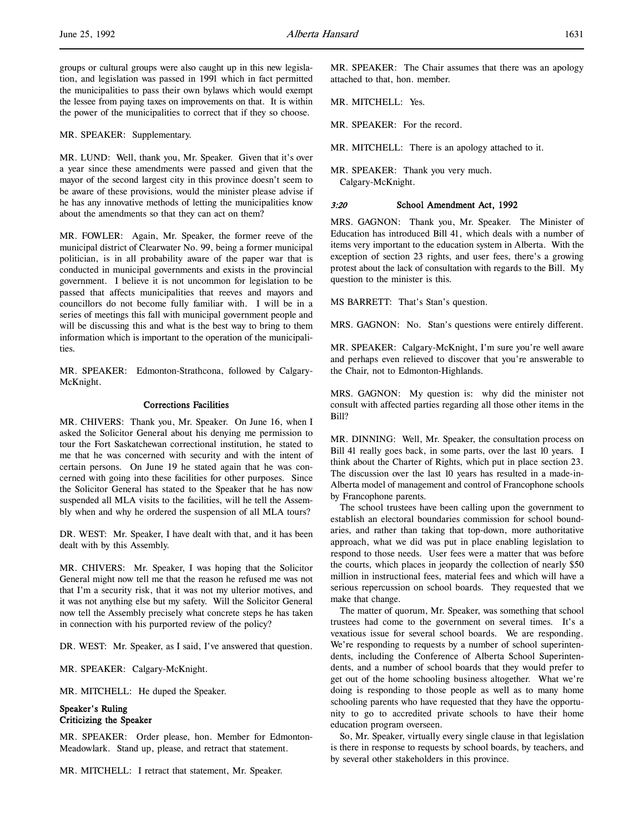groups or cultural groups were also caught up in this new legislation, and legislation was passed in 1991 which in fact permitted the municipalities to pass their own bylaws which would exempt the lessee from paying taxes on improvements on that. It is within the power of the municipalities to correct that if they so choose.

MR. SPEAKER: Supplementary.

MR. LUND: Well, thank you, Mr. Speaker. Given that it's over a year since these amendments were passed and given that the mayor of the second largest city in this province doesn't seem to be aware of these provisions, would the minister please advise if he has any innovative methods of letting the municipalities know about the amendments so that they can act on them?

MR. FOWLER: Again, Mr. Speaker, the former reeve of the municipal district of Clearwater No. 99, being a former municipal politician, is in all probability aware of the paper war that is conducted in municipal governments and exists in the provincial government. I believe it is not uncommon for legislation to be passed that affects municipalities that reeves and mayors and councillors do not become fully familiar with. I will be in a series of meetings this fall with municipal government people and will be discussing this and what is the best way to bring to them information which is important to the operation of the municipalities.

MR. SPEAKER: Edmonton-Strathcona, followed by Calgary-McKnight.

# Corrections Facilities

MR. CHIVERS: Thank you, Mr. Speaker. On June 16, when I asked the Solicitor General about his denying me permission to tour the Fort Saskatchewan correctional institution, he stated to me that he was concerned with security and with the intent of certain persons. On June 19 he stated again that he was concerned with going into these facilities for other purposes. Since the Solicitor General has stated to the Speaker that he has now suspended all MLA visits to the facilities, will he tell the Assembly when and why he ordered the suspension of all MLA tours?

DR. WEST: Mr. Speaker, I have dealt with that, and it has been dealt with by this Assembly.

MR. CHIVERS: Mr. Speaker, I was hoping that the Solicitor General might now tell me that the reason he refused me was not that I'm a security risk, that it was not my ulterior motives, and it was not anything else but my safety. Will the Solicitor General now tell the Assembly precisely what concrete steps he has taken in connection with his purported review of the policy?

DR. WEST: Mr. Speaker, as I said, I've answered that question.

MR. SPEAKER: Calgary-McKnight.

MR. MITCHELL: He duped the Speaker.

# Speaker's Ruling Criticizing the Speaker

MR. SPEAKER: Order please, hon. Member for Edmonton-Meadowlark. Stand up, please, and retract that statement.

MR. MITCHELL: I retract that statement, Mr. Speaker.

MR. SPEAKER: The Chair assumes that there was an apology attached to that, hon. member.

MR. MITCHELL: Yes.

MR. SPEAKER: For the record.

MR. MITCHELL: There is an apology attached to it.

MR. SPEAKER: Thank you very much. Calgary-McKnight.

#### 3:20 School Amendment Act, 1992

MRS. GAGNON: Thank you, Mr. Speaker. The Minister of Education has introduced Bill 41, which deals with a number of items very important to the education system in Alberta. With the exception of section 23 rights, and user fees, there's a growing protest about the lack of consultation with regards to the Bill. My question to the minister is this.

MS BARRETT: That's Stan's question.

MRS. GAGNON: No. Stan's questions were entirely different.

MR. SPEAKER: Calgary-McKnight, I'm sure you're well aware and perhaps even relieved to discover that you're answerable to the Chair, not to Edmonton-Highlands.

MRS. GAGNON: My question is: why did the minister not consult with affected parties regarding all those other items in the Bill?

MR. DINNING: Well, Mr. Speaker, the consultation process on Bill 41 really goes back, in some parts, over the last 10 years. I think about the Charter of Rights, which put in place section 23. The discussion over the last 10 years has resulted in a made-in-Alberta model of management and control of Francophone schools by Francophone parents.

The school trustees have been calling upon the government to establish an electoral boundaries commission for school boundaries, and rather than taking that top-down, more authoritative approach, what we did was put in place enabling legislation to respond to those needs. User fees were a matter that was before the courts, which places in jeopardy the collection of nearly \$50 million in instructional fees, material fees and which will have a serious repercussion on school boards. They requested that we make that change.

The matter of quorum, Mr. Speaker, was something that school trustees had come to the government on several times. It's a vexatious issue for several school boards. We are responding. We're responding to requests by a number of school superintendents, including the Conference of Alberta School Superintendents, and a number of school boards that they would prefer to get out of the home schooling business altogether. What we're doing is responding to those people as well as to many home schooling parents who have requested that they have the opportunity to go to accredited private schools to have their home education program overseen.

So, Mr. Speaker, virtually every single clause in that legislation is there in response to requests by school boards, by teachers, and by several other stakeholders in this province.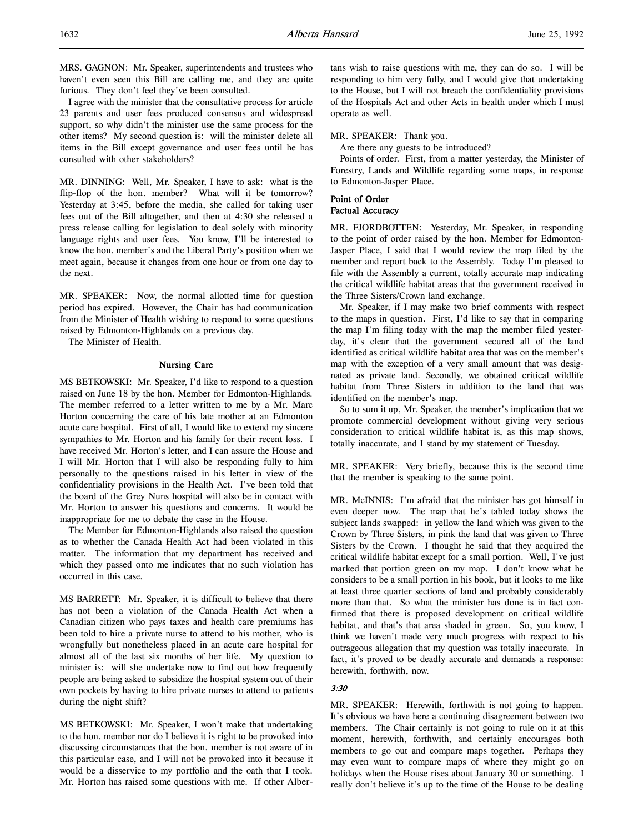I agree with the minister that the consultative process for article 23 parents and user fees produced consensus and widespread support, so why didn't the minister use the same process for the other items? My second question is: will the minister delete all items in the Bill except governance and user fees until he has consulted with other stakeholders?

MR. DINNING: Well, Mr. Speaker, I have to ask: what is the flip-flop of the hon. member? What will it be tomorrow? Yesterday at 3:45, before the media, she called for taking user fees out of the Bill altogether, and then at 4:30 she released a press release calling for legislation to deal solely with minority language rights and user fees. You know, I'll be interested to know the hon. member's and the Liberal Party's position when we meet again, because it changes from one hour or from one day to the next.

MR. SPEAKER: Now, the normal allotted time for question period has expired. However, the Chair has had communication from the Minister of Health wishing to respond to some questions raised by Edmonton-Highlands on a previous day.

The Minister of Health.

# Nursing Care

MS BETKOWSKI: Mr. Speaker, I'd like to respond to a question raised on June 18 by the hon. Member for Edmonton-Highlands. The member referred to a letter written to me by a Mr. Marc Horton concerning the care of his late mother at an Edmonton acute care hospital. First of all, I would like to extend my sincere sympathies to Mr. Horton and his family for their recent loss. I have received Mr. Horton's letter, and I can assure the House and I will Mr. Horton that I will also be responding fully to him personally to the questions raised in his letter in view of the confidentiality provisions in the Health Act. I've been told that the board of the Grey Nuns hospital will also be in contact with Mr. Horton to answer his questions and concerns. It would be inappropriate for me to debate the case in the House.

The Member for Edmonton-Highlands also raised the question as to whether the Canada Health Act had been violated in this matter. The information that my department has received and which they passed onto me indicates that no such violation has occurred in this case.

MS BARRETT: Mr. Speaker, it is difficult to believe that there has not been a violation of the Canada Health Act when a Canadian citizen who pays taxes and health care premiums has been told to hire a private nurse to attend to his mother, who is wrongfully but nonetheless placed in an acute care hospital for almost all of the last six months of her life. My question to minister is: will she undertake now to find out how frequently people are being asked to subsidize the hospital system out of their own pockets by having to hire private nurses to attend to patients during the night shift?

MS BETKOWSKI: Mr. Speaker, I won't make that undertaking to the hon. member nor do I believe it is right to be provoked into discussing circumstances that the hon. member is not aware of in this particular case, and I will not be provoked into it because it would be a disservice to my portfolio and the oath that I took. Mr. Horton has raised some questions with me. If other Albertans wish to raise questions with me, they can do so. I will be responding to him very fully, and I would give that undertaking to the House, but I will not breach the confidentiality provisions of the Hospitals Act and other Acts in health under which I must operate as well.

#### MR. SPEAKER: Thank you.

Are there any guests to be introduced?

Points of order. First, from a matter yesterday, the Minister of Forestry, Lands and Wildlife regarding some maps, in response to Edmonton-Jasper Place.

# Point of Order Factual Accuracy

MR. FJORDBOTTEN: Yesterday, Mr. Speaker, in responding to the point of order raised by the hon. Member for Edmonton-Jasper Place, I said that I would review the map filed by the member and report back to the Assembly. Today I'm pleased to file with the Assembly a current, totally accurate map indicating the critical wildlife habitat areas that the government received in the Three Sisters/Crown land exchange.

Mr. Speaker, if I may make two brief comments with respect to the maps in question. First, I'd like to say that in comparing the map I'm filing today with the map the member filed yesterday, it's clear that the government secured all of the land identified as critical wildlife habitat area that was on the member's map with the exception of a very small amount that was designated as private land. Secondly, we obtained critical wildlife habitat from Three Sisters in addition to the land that was identified on the member's map.

So to sum it up, Mr. Speaker, the member's implication that we promote commercial development without giving very serious consideration to critical wildlife habitat is, as this map shows, totally inaccurate, and I stand by my statement of Tuesday.

MR. SPEAKER: Very briefly, because this is the second time that the member is speaking to the same point.

MR. McINNIS: I'm afraid that the minister has got himself in even deeper now. The map that he's tabled today shows the subject lands swapped: in yellow the land which was given to the Crown by Three Sisters, in pink the land that was given to Three Sisters by the Crown. I thought he said that they acquired the critical wildlife habitat except for a small portion. Well, I've just marked that portion green on my map. I don't know what he considers to be a small portion in his book, but it looks to me like at least three quarter sections of land and probably considerably more than that. So what the minister has done is in fact confirmed that there is proposed development on critical wildlife habitat, and that's that area shaded in green. So, you know, I think we haven't made very much progress with respect to his outrageous allegation that my question was totally inaccurate. In fact, it's proved to be deadly accurate and demands a response: herewith, forthwith, now.

# 3:30

MR. SPEAKER: Herewith, forthwith is not going to happen. It's obvious we have here a continuing disagreement between two members. The Chair certainly is not going to rule on it at this moment, herewith, forthwith, and certainly encourages both members to go out and compare maps together. Perhaps they may even want to compare maps of where they might go on holidays when the House rises about January 30 or something. I really don't believe it's up to the time of the House to be dealing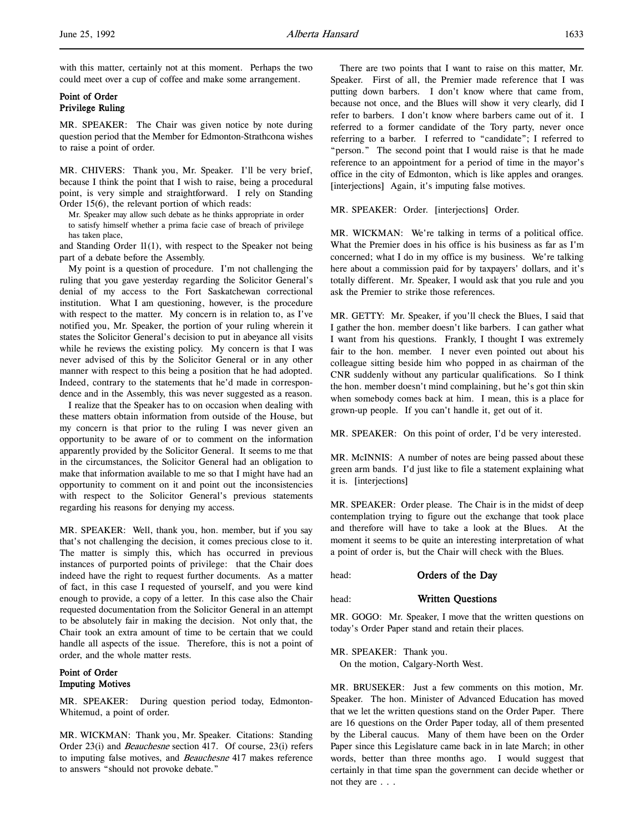# Point of Order Privilege Ruling

MR. SPEAKER: The Chair was given notice by note during question period that the Member for Edmonton-Strathcona wishes to raise a point of order.

MR. CHIVERS: Thank you, Mr. Speaker. I'll be very brief, because I think the point that I wish to raise, being a procedural point, is very simple and straightforward. I rely on Standing Order 15(6), the relevant portion of which reads:

Mr. Speaker may allow such debate as he thinks appropriate in order to satisfy himself whether a prima facie case of breach of privilege has taken place,

and Standing Order  $11(1)$ , with respect to the Speaker not being part of a debate before the Assembly.

My point is a question of procedure. I'm not challenging the ruling that you gave yesterday regarding the Solicitor General's denial of my access to the Fort Saskatchewan correctional institution. What I am questioning, however, is the procedure with respect to the matter. My concern is in relation to, as I've notified you, Mr. Speaker, the portion of your ruling wherein it states the Solicitor General's decision to put in abeyance all visits while he reviews the existing policy. My concern is that I was never advised of this by the Solicitor General or in any other manner with respect to this being a position that he had adopted. Indeed, contrary to the statements that he'd made in correspondence and in the Assembly, this was never suggested as a reason.

I realize that the Speaker has to on occasion when dealing with these matters obtain information from outside of the House, but my concern is that prior to the ruling I was never given an opportunity to be aware of or to comment on the information apparently provided by the Solicitor General. It seems to me that in the circumstances, the Solicitor General had an obligation to make that information available to me so that I might have had an opportunity to comment on it and point out the inconsistencies with respect to the Solicitor General's previous statements regarding his reasons for denying my access.

MR. SPEAKER: Well, thank you, hon. member, but if you say that's not challenging the decision, it comes precious close to it. The matter is simply this, which has occurred in previous instances of purported points of privilege: that the Chair does indeed have the right to request further documents. As a matter of fact, in this case I requested of yourself, and you were kind enough to provide, a copy of a letter. In this case also the Chair requested documentation from the Solicitor General in an attempt to be absolutely fair in making the decision. Not only that, the Chair took an extra amount of time to be certain that we could handle all aspects of the issue. Therefore, this is not a point of order, and the whole matter rests.

# Point of Order Imputing Motives

MR. SPEAKER: During question period today, Edmonton-Whitemud, a point of order.

MR. WICKMAN: Thank you, Mr. Speaker. Citations: Standing Order 23(i) and Beauchesne section 417. Of course, 23(i) refers to imputing false motives, and Beauchesne 417 makes reference to answers "should not provoke debate."

There are two points that I want to raise on this matter, Mr. Speaker. First of all, the Premier made reference that I was putting down barbers. I don't know where that came from, because not once, and the Blues will show it very clearly, did I refer to barbers. I don't know where barbers came out of it. I referred to a former candidate of the Tory party, never once referring to a barber. I referred to "candidate"; I referred to "person." The second point that I would raise is that he made reference to an appointment for a period of time in the mayor's office in the city of Edmonton, which is like apples and oranges. [interjections] Again, it's imputing false motives.

MR. SPEAKER: Order. [interjections] Order.

MR. WICKMAN: We're talking in terms of a political office. What the Premier does in his office is his business as far as I'm concerned; what I do in my office is my business. We're talking here about a commission paid for by taxpayers' dollars, and it's totally different. Mr. Speaker, I would ask that you rule and you ask the Premier to strike those references.

MR. GETTY: Mr. Speaker, if you'll check the Blues, I said that I gather the hon. member doesn't like barbers. I can gather what I want from his questions. Frankly, I thought I was extremely fair to the hon. member. I never even pointed out about his colleague sitting beside him who popped in as chairman of the CNR suddenly without any particular qualifications. So I think the hon. member doesn't mind complaining, but he's got thin skin when somebody comes back at him. I mean, this is a place for grown-up people. If you can't handle it, get out of it.

MR. SPEAKER: On this point of order, I'd be very interested.

MR. McINNIS: A number of notes are being passed about these green arm bands. I'd just like to file a statement explaining what it is. [interjections]

MR. SPEAKER: Order please. The Chair is in the midst of deep contemplation trying to figure out the exchange that took place and therefore will have to take a look at the Blues. At the moment it seems to be quite an interesting interpretation of what a point of order is, but the Chair will check with the Blues.

head: **Orders of the Day** 

# head: Written Questions

MR. GOGO: Mr. Speaker, I move that the written questions on today's Order Paper stand and retain their places.

MR. SPEAKER: Thank you. On the motion, Calgary-North West.

MR. BRUSEKER: Just a few comments on this motion, Mr. Speaker. The hon. Minister of Advanced Education has moved that we let the written questions stand on the Order Paper. There are 16 questions on the Order Paper today, all of them presented by the Liberal caucus. Many of them have been on the Order Paper since this Legislature came back in in late March; in other words, better than three months ago. I would suggest that certainly in that time span the government can decide whether or not they are . . .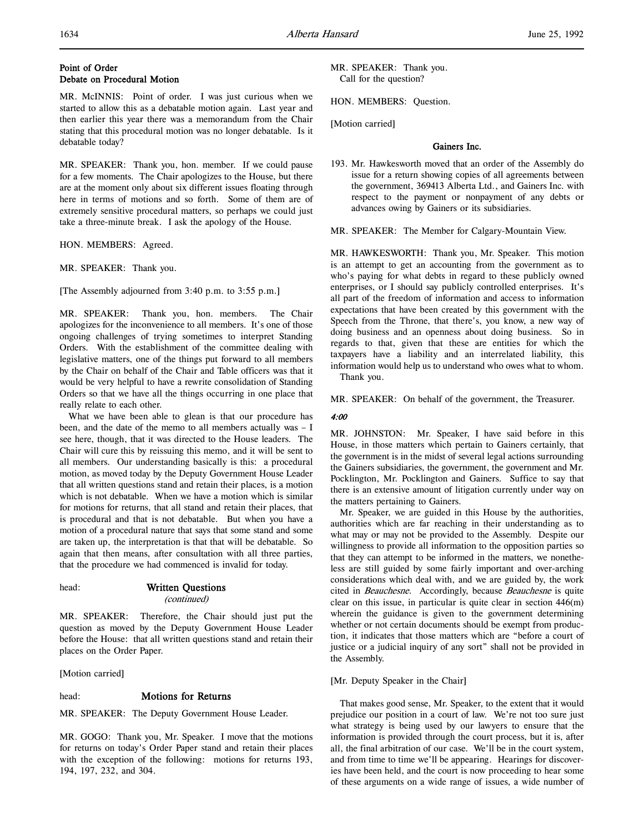# Point of Order Debate on Procedural Motion

MR. McINNIS: Point of order. I was just curious when we started to allow this as a debatable motion again. Last year and then earlier this year there was a memorandum from the Chair stating that this procedural motion was no longer debatable. Is it debatable today?

MR. SPEAKER: Thank you, hon. member. If we could pause for a few moments. The Chair apologizes to the House, but there are at the moment only about six different issues floating through here in terms of motions and so forth. Some of them are of extremely sensitive procedural matters, so perhaps we could just take a three-minute break. I ask the apology of the House.

HON. MEMBERS: Agreed.

MR. SPEAKER: Thank you.

[The Assembly adjourned from 3:40 p.m. to 3:55 p.m.]

MR. SPEAKER: Thank you, hon. members. The Chair apologizes for the inconvenience to all members. It's one of those ongoing challenges of trying sometimes to interpret Standing Orders. With the establishment of the committee dealing with legislative matters, one of the things put forward to all members by the Chair on behalf of the Chair and Table officers was that it would be very helpful to have a rewrite consolidation of Standing Orders so that we have all the things occurring in one place that really relate to each other.

What we have been able to glean is that our procedure has been, and the date of the memo to all members actually was – I see here, though, that it was directed to the House leaders. The Chair will cure this by reissuing this memo, and it will be sent to all members. Our understanding basically is this: a procedural motion, as moved today by the Deputy Government House Leader that all written questions stand and retain their places, is a motion which is not debatable. When we have a motion which is similar for motions for returns, that all stand and retain their places, that is procedural and that is not debatable. But when you have a motion of a procedural nature that says that some stand and some are taken up, the interpretation is that that will be debatable. So again that then means, after consultation with all three parties, that the procedure we had commenced is invalid for today.

head: Written Questions (continued)

MR. SPEAKER: Therefore, the Chair should just put the question as moved by the Deputy Government House Leader before the House: that all written questions stand and retain their places on the Order Paper.

[Motion carried]

#### head: Motions for Returns

MR. SPEAKER: The Deputy Government House Leader.

MR. GOGO: Thank you, Mr. Speaker. I move that the motions for returns on today's Order Paper stand and retain their places with the exception of the following: motions for returns 193, 194, 197, 232, and 304.

MR. SPEAKER: Thank you. Call for the question?

HON. MEMBERS: Question.

[Motion carried]

#### Gainers Inc.

193. Mr. Hawkesworth moved that an order of the Assembly do issue for a return showing copies of all agreements between the government, 369413 Alberta Ltd., and Gainers Inc. with respect to the payment or nonpayment of any debts or advances owing by Gainers or its subsidiaries.

MR. SPEAKER: The Member for Calgary-Mountain View.

MR. HAWKESWORTH: Thank you, Mr. Speaker. This motion is an attempt to get an accounting from the government as to who's paying for what debts in regard to these publicly owned enterprises, or I should say publicly controlled enterprises. It's all part of the freedom of information and access to information expectations that have been created by this government with the Speech from the Throne, that there's, you know, a new way of doing business and an openness about doing business. So in regards to that, given that these are entities for which the taxpayers have a liability and an interrelated liability, this information would help us to understand who owes what to whom.

Thank you.

MR. SPEAKER: On behalf of the government, the Treasurer.

# 4:00

MR. JOHNSTON: Mr. Speaker, I have said before in this House, in those matters which pertain to Gainers certainly, that the government is in the midst of several legal actions surrounding the Gainers subsidiaries, the government, the government and Mr. Pocklington, Mr. Pocklington and Gainers. Suffice to say that there is an extensive amount of litigation currently under way on the matters pertaining to Gainers.

Mr. Speaker, we are guided in this House by the authorities, authorities which are far reaching in their understanding as to what may or may not be provided to the Assembly. Despite our willingness to provide all information to the opposition parties so that they can attempt to be informed in the matters, we nonetheless are still guided by some fairly important and over-arching considerations which deal with, and we are guided by, the work cited in Beauchesne. Accordingly, because Beauchesne is quite clear on this issue, in particular is quite clear in section 446(m) wherein the guidance is given to the government determining whether or not certain documents should be exempt from production, it indicates that those matters which are "before a court of justice or a judicial inquiry of any sort" shall not be provided in the Assembly.

# [Mr. Deputy Speaker in the Chair]

That makes good sense, Mr. Speaker, to the extent that it would prejudice our position in a court of law. We're not too sure just what strategy is being used by our lawyers to ensure that the information is provided through the court process, but it is, after all, the final arbitration of our case. We'll be in the court system, and from time to time we'll be appearing. Hearings for discoveries have been held, and the court is now proceeding to hear some of these arguments on a wide range of issues, a wide number of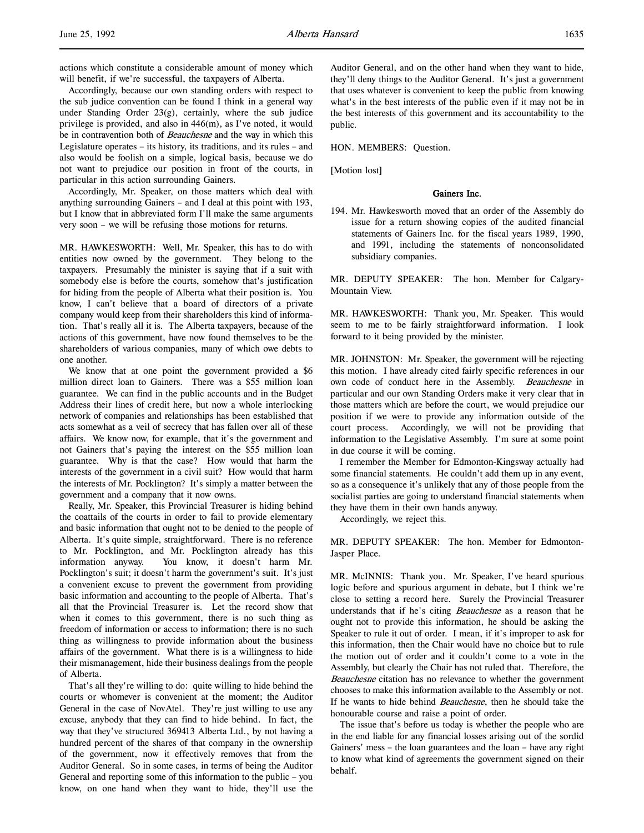actions which constitute a considerable amount of money which will benefit, if we're successful, the taxpayers of Alberta.

Accordingly, because our own standing orders with respect to the sub judice convention can be found I think in a general way under Standing Order 23(g), certainly, where the sub judice privilege is provided, and also in 446(m), as I've noted, it would be in contravention both of *Beauchesne* and the way in which this Legislature operates – its history, its traditions, and its rules – and also would be foolish on a simple, logical basis, because we do not want to prejudice our position in front of the courts, in particular in this action surrounding Gainers.

Accordingly, Mr. Speaker, on those matters which deal with anything surrounding Gainers – and I deal at this point with 193, but I know that in abbreviated form I'll make the same arguments very soon – we will be refusing those motions for returns.

MR. HAWKESWORTH: Well, Mr. Speaker, this has to do with entities now owned by the government. They belong to the taxpayers. Presumably the minister is saying that if a suit with somebody else is before the courts, somehow that's justification for hiding from the people of Alberta what their position is. You know, I can't believe that a board of directors of a private company would keep from their shareholders this kind of information. That's really all it is. The Alberta taxpayers, because of the actions of this government, have now found themselves to be the shareholders of various companies, many of which owe debts to one another.

We know that at one point the government provided a \$6 million direct loan to Gainers. There was a \$55 million loan guarantee. We can find in the public accounts and in the Budget Address their lines of credit here, but now a whole interlocking network of companies and relationships has been established that acts somewhat as a veil of secrecy that has fallen over all of these affairs. We know now, for example, that it's the government and not Gainers that's paying the interest on the \$55 million loan guarantee. Why is that the case? How would that harm the interests of the government in a civil suit? How would that harm the interests of Mr. Pocklington? It's simply a matter between the government and a company that it now owns.

Really, Mr. Speaker, this Provincial Treasurer is hiding behind the coattails of the courts in order to fail to provide elementary and basic information that ought not to be denied to the people of Alberta. It's quite simple, straightforward. There is no reference to Mr. Pocklington, and Mr. Pocklington already has this information anyway. You know, it doesn't harm Mr. Pocklington's suit; it doesn't harm the government's suit. It's just a convenient excuse to prevent the government from providing basic information and accounting to the people of Alberta. That's all that the Provincial Treasurer is. Let the record show that when it comes to this government, there is no such thing as freedom of information or access to information; there is no such thing as willingness to provide information about the business affairs of the government. What there is is a willingness to hide their mismanagement, hide their business dealings from the people of Alberta.

That's all they're willing to do: quite willing to hide behind the courts or whomever is convenient at the moment; the Auditor General in the case of NovAtel. They're just willing to use any excuse, anybody that they can find to hide behind. In fact, the way that they've structured 369413 Alberta Ltd., by not having a hundred percent of the shares of that company in the ownership of the government, now it effectively removes that from the Auditor General. So in some cases, in terms of being the Auditor General and reporting some of this information to the public – you know, on one hand when they want to hide, they'll use the

Auditor General, and on the other hand when they want to hide, they'll deny things to the Auditor General. It's just a government that uses whatever is convenient to keep the public from knowing what's in the best interests of the public even if it may not be in the best interests of this government and its accountability to the public.

HON. MEMBERS: Question.

[Motion lost]

#### Gainers Inc.

194. Mr. Hawkesworth moved that an order of the Assembly do issue for a return showing copies of the audited financial statements of Gainers Inc. for the fiscal years 1989, 1990, and 1991, including the statements of nonconsolidated subsidiary companies.

MR. DEPUTY SPEAKER: The hon. Member for Calgary-Mountain View.

MR. HAWKESWORTH: Thank you, Mr. Speaker. This would seem to me to be fairly straightforward information. I look forward to it being provided by the minister.

MR. JOHNSTON: Mr. Speaker, the government will be rejecting this motion. I have already cited fairly specific references in our own code of conduct here in the Assembly. Beauchesne in particular and our own Standing Orders make it very clear that in those matters which are before the court, we would prejudice our position if we were to provide any information outside of the court process. Accordingly, we will not be providing that information to the Legislative Assembly. I'm sure at some point in due course it will be coming.

I remember the Member for Edmonton-Kingsway actually had some financial statements. He couldn't add them up in any event, so as a consequence it's unlikely that any of those people from the socialist parties are going to understand financial statements when they have them in their own hands anyway.

Accordingly, we reject this.

MR. DEPUTY SPEAKER: The hon. Member for Edmonton-Jasper Place.

MR. McINNIS: Thank you. Mr. Speaker, I've heard spurious logic before and spurious argument in debate, but I think we're close to setting a record here. Surely the Provincial Treasurer understands that if he's citing *Beauchesne* as a reason that he ought not to provide this information, he should be asking the Speaker to rule it out of order. I mean, if it's improper to ask for this information, then the Chair would have no choice but to rule the motion out of order and it couldn't come to a vote in the Assembly, but clearly the Chair has not ruled that. Therefore, the Beauchesne citation has no relevance to whether the government chooses to make this information available to the Assembly or not. If he wants to hide behind *Beauchesne*, then he should take the honourable course and raise a point of order.

The issue that's before us today is whether the people who are in the end liable for any financial losses arising out of the sordid Gainers' mess – the loan guarantees and the loan – have any right to know what kind of agreements the government signed on their behalf.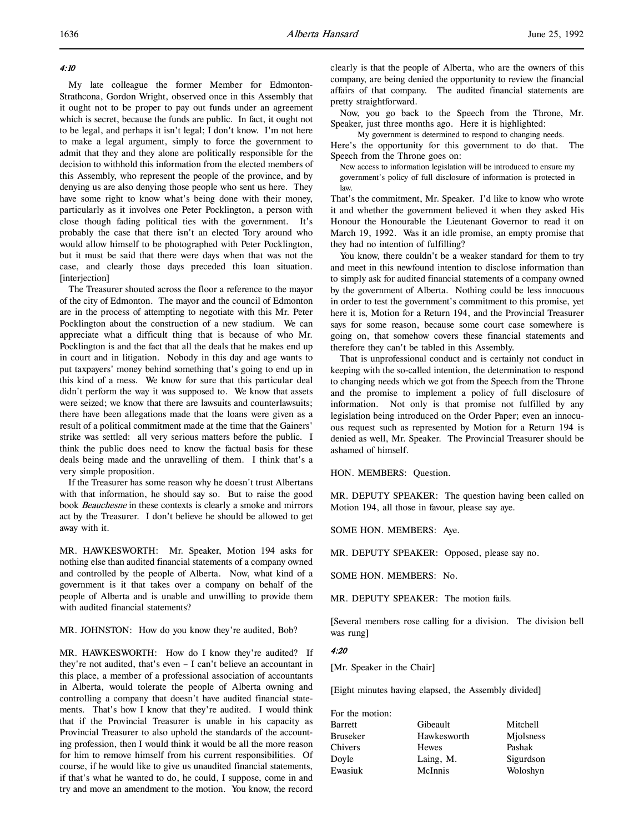4:10

l,

My late colleague the former Member for Edmonton-Strathcona, Gordon Wright, observed once in this Assembly that it ought not to be proper to pay out funds under an agreement which is secret, because the funds are public. In fact, it ought not to be legal, and perhaps it isn't legal; I don't know. I'm not here to make a legal argument, simply to force the government to admit that they and they alone are politically responsible for the decision to withhold this information from the elected members of this Assembly, who represent the people of the province, and by denying us are also denying those people who sent us here. They have some right to know what's being done with their money, particularly as it involves one Peter Pocklington, a person with close though fading political ties with the government. It's probably the case that there isn't an elected Tory around who would allow himself to be photographed with Peter Pocklington, but it must be said that there were days when that was not the case, and clearly those days preceded this loan situation. [interjection]

The Treasurer shouted across the floor a reference to the mayor of the city of Edmonton. The mayor and the council of Edmonton are in the process of attempting to negotiate with this Mr. Peter Pocklington about the construction of a new stadium. We can appreciate what a difficult thing that is because of who Mr. Pocklington is and the fact that all the deals that he makes end up in court and in litigation. Nobody in this day and age wants to put taxpayers' money behind something that's going to end up in this kind of a mess. We know for sure that this particular deal didn't perform the way it was supposed to. We know that assets were seized; we know that there are lawsuits and counterlawsuits; there have been allegations made that the loans were given as a result of a political commitment made at the time that the Gainers' strike was settled: all very serious matters before the public. I think the public does need to know the factual basis for these deals being made and the unravelling of them. I think that's a very simple proposition.

If the Treasurer has some reason why he doesn't trust Albertans with that information, he should say so. But to raise the good book Beauchesne in these contexts is clearly a smoke and mirrors act by the Treasurer. I don't believe he should be allowed to get away with it.

MR. HAWKESWORTH: Mr. Speaker, Motion 194 asks for nothing else than audited financial statements of a company owned and controlled by the people of Alberta. Now, what kind of a government is it that takes over a company on behalf of the people of Alberta and is unable and unwilling to provide them with audited financial statements?

MR. JOHNSTON: How do you know they're audited, Bob?

MR. HAWKESWORTH: How do I know they're audited? If they're not audited, that's even – I can't believe an accountant in this place, a member of a professional association of accountants in Alberta, would tolerate the people of Alberta owning and controlling a company that doesn't have audited financial statements. That's how I know that they're audited. I would think that if the Provincial Treasurer is unable in his capacity as Provincial Treasurer to also uphold the standards of the accounting profession, then I would think it would be all the more reason for him to remove himself from his current responsibilities. Of course, if he would like to give us unaudited financial statements, if that's what he wanted to do, he could, I suppose, come in and try and move an amendment to the motion. You know, the record

Now, you go back to the Speech from the Throne, Mr. Speaker, just three months ago. Here it is highlighted:

My government is determined to respond to changing needs.

Here's the opportunity for this government to do that. The Speech from the Throne goes on:

New access to information legislation will be introduced to ensure my government's policy of full disclosure of information is protected in law.

That's the commitment, Mr. Speaker. I'd like to know who wrote it and whether the government believed it when they asked His Honour the Honourable the Lieutenant Governor to read it on March 19, 1992. Was it an idle promise, an empty promise that they had no intention of fulfilling?

You know, there couldn't be a weaker standard for them to try and meet in this newfound intention to disclose information than to simply ask for audited financial statements of a company owned by the government of Alberta. Nothing could be less innocuous in order to test the government's commitment to this promise, yet here it is, Motion for a Return 194, and the Provincial Treasurer says for some reason, because some court case somewhere is going on, that somehow covers these financial statements and therefore they can't be tabled in this Assembly.

That is unprofessional conduct and is certainly not conduct in keeping with the so-called intention, the determination to respond to changing needs which we got from the Speech from the Throne and the promise to implement a policy of full disclosure of information. Not only is that promise not fulfilled by any legislation being introduced on the Order Paper; even an innocuous request such as represented by Motion for a Return 194 is denied as well, Mr. Speaker. The Provincial Treasurer should be ashamed of himself.

HON. MEMBERS: Question.

MR. DEPUTY SPEAKER: The question having been called on Motion 194, all those in favour, please say aye.

SOME HON. MEMBERS: Aye.

MR. DEPUTY SPEAKER: Opposed, please say no.

SOME HON. MEMBERS: No.

MR. DEPUTY SPEAKER: The motion fails.

[Several members rose calling for a division. The division bell was rung]

# 4:20

[Mr. Speaker in the Chair]

[Eight minutes having elapsed, the Assembly divided]

| Gibeault    | Mitchell  |
|-------------|-----------|
| Hawkesworth | Miolsness |
| Hewes       | Pashak    |
| Laing, M.   | Sigurdson |
| McInnis     | Woloshyn  |
|             |           |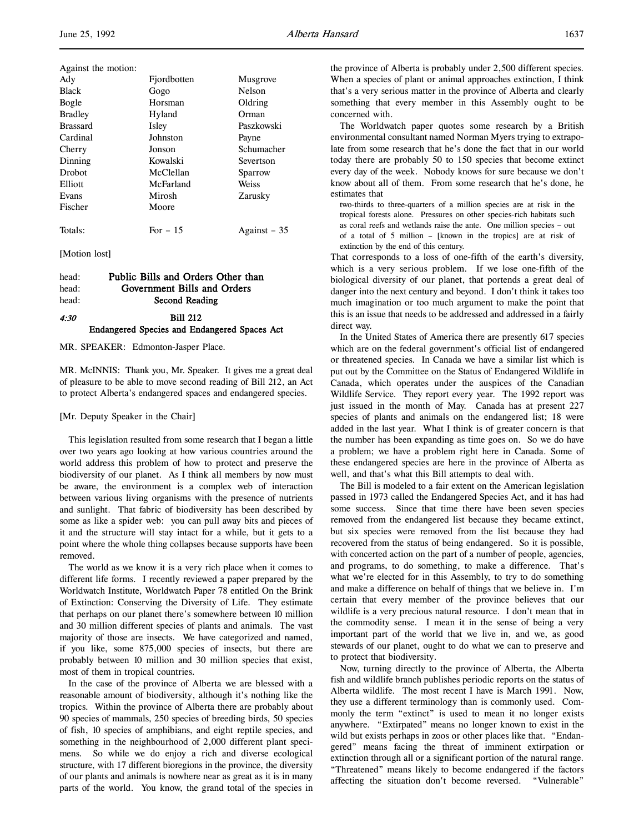| Against the motion: |             |              |
|---------------------|-------------|--------------|
| Ady                 | Fjordbotten | Musgrove     |
| <b>Black</b>        | Gogo        | Nelson       |
| Bogle               | Horsman     | Oldring      |
| <b>Bradley</b>      | Hyland      | Orman        |
| <b>Brassard</b>     | Isley       | Paszkowski   |
| Cardinal            | Johnston    | Payne        |
| Cherry              | Jonson      | Schumacher   |
| Dinning             | Kowalski    | Severtson    |
| Drobot              | McClellan   | Sparrow      |
| Elliott             | McFarland   | Weiss        |
| Evans               | Mirosh      | Zarusky      |
| Fischer             | Moore       |              |
|                     |             |              |
| Totals:             | For $-15$   | Against – 35 |

[Motion lost]

| head: | Public Bills and Orders Other than                  |  |
|-------|-----------------------------------------------------|--|
| head: | Government Bills and Orders                         |  |
| head: | Second Reading                                      |  |
| 4:30  | <b>Bill 212</b>                                     |  |
|       | <b>Endangered Species and Endangered Spaces Act</b> |  |

MR. SPEAKER: Edmonton-Jasper Place.

MR. McINNIS: Thank you, Mr. Speaker. It gives me a great deal of pleasure to be able to move second reading of Bill 212, an Act to protect Alberta's endangered spaces and endangered species.

#### [Mr. Deputy Speaker in the Chair]

This legislation resulted from some research that I began a little over two years ago looking at how various countries around the world address this problem of how to protect and preserve the biodiversity of our planet. As I think all members by now must be aware, the environment is a complex web of interaction between various living organisms with the presence of nutrients and sunlight. That fabric of biodiversity has been described by some as like a spider web: you can pull away bits and pieces of it and the structure will stay intact for a while, but it gets to a point where the whole thing collapses because supports have been removed.

The world as we know it is a very rich place when it comes to different life forms. I recently reviewed a paper prepared by the Worldwatch Institute, Worldwatch Paper 78 entitled On the Brink of Extinction: Conserving the Diversity of Life. They estimate that perhaps on our planet there's somewhere between 10 million and 30 million different species of plants and animals. The vast majority of those are insects. We have categorized and named, if you like, some 875,000 species of insects, but there are probably between 10 million and 30 million species that exist, most of them in tropical countries.

In the case of the province of Alberta we are blessed with a reasonable amount of biodiversity, although it's nothing like the tropics. Within the province of Alberta there are probably about 90 species of mammals, 250 species of breeding birds, 50 species of fish, 10 species of amphibians, and eight reptile species, and something in the neighbourhood of 2,000 different plant specimens. So while we do enjoy a rich and diverse ecological structure, with 17 different bioregions in the province, the diversity of our plants and animals is nowhere near as great as it is in many parts of the world. You know, the grand total of the species in

the province of Alberta is probably under 2,500 different species. When a species of plant or animal approaches extinction, I think that's a very serious matter in the province of Alberta and clearly something that every member in this Assembly ought to be concerned with.

The Worldwatch paper quotes some research by a British environmental consultant named Norman Myers trying to extrapolate from some research that he's done the fact that in our world today there are probably 50 to 150 species that become extinct every day of the week. Nobody knows for sure because we don't know about all of them. From some research that he's done, he estimates that

two-thirds to three-quarters of a million species are at risk in the tropical forests alone. Pressures on other species-rich habitats such as coral reefs and wetlands raise the ante. One million species – out of a total of 5 million – [known in the tropics] are at risk of extinction by the end of this century.

That corresponds to a loss of one-fifth of the earth's diversity, which is a very serious problem. If we lose one-fifth of the biological diversity of our planet, that portends a great deal of danger into the next century and beyond. I don't think it takes too much imagination or too much argument to make the point that this is an issue that needs to be addressed and addressed in a fairly direct way.

In the United States of America there are presently 617 species which are on the federal government's official list of endangered or threatened species. In Canada we have a similar list which is put out by the Committee on the Status of Endangered Wildlife in Canada, which operates under the auspices of the Canadian Wildlife Service. They report every year. The 1992 report was just issued in the month of May. Canada has at present 227 species of plants and animals on the endangered list; 18 were added in the last year. What I think is of greater concern is that the number has been expanding as time goes on. So we do have a problem; we have a problem right here in Canada. Some of these endangered species are here in the province of Alberta as well, and that's what this Bill attempts to deal with.

The Bill is modeled to a fair extent on the American legislation passed in 1973 called the Endangered Species Act, and it has had some success. Since that time there have been seven species removed from the endangered list because they became extinct, but six species were removed from the list because they had recovered from the status of being endangered. So it is possible, with concerted action on the part of a number of people, agencies, and programs, to do something, to make a difference. That's what we're elected for in this Assembly, to try to do something and make a difference on behalf of things that we believe in. I'm certain that every member of the province believes that our wildlife is a very precious natural resource. I don't mean that in the commodity sense. I mean it in the sense of being a very important part of the world that we live in, and we, as good stewards of our planet, ought to do what we can to preserve and to protect that biodiversity.

Now, turning directly to the province of Alberta, the Alberta fish and wildlife branch publishes periodic reports on the status of Alberta wildlife. The most recent I have is March 1991. Now, they use a different terminology than is commonly used. Commonly the term "extinct" is used to mean it no longer exists anywhere. "Extirpated" means no longer known to exist in the wild but exists perhaps in zoos or other places like that. "Endangered" means facing the threat of imminent extirpation or extinction through all or a significant portion of the natural range. "Threatened" means likely to become endangered if the factors affecting the situation don't become reversed. "Vulnerable"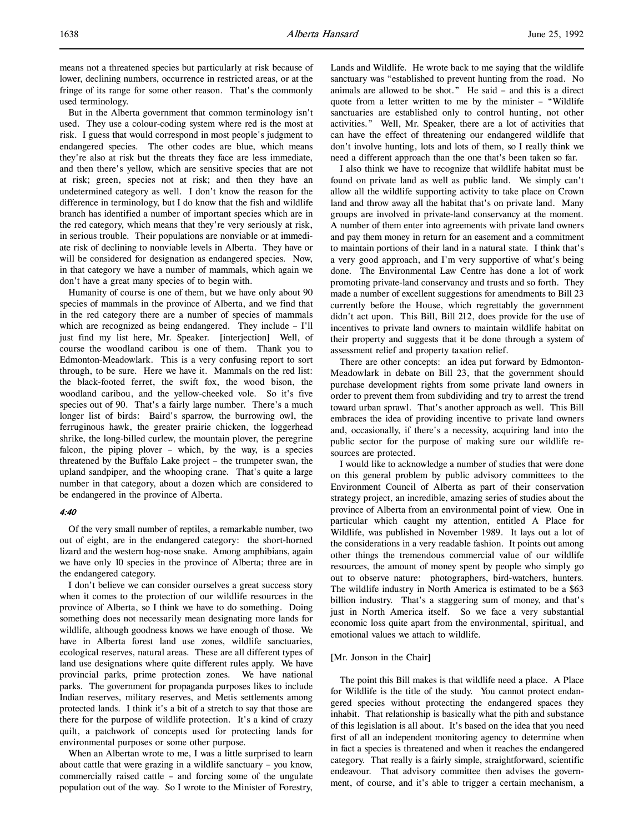means not a threatened species but particularly at risk because of lower, declining numbers, occurrence in restricted areas, or at the fringe of its range for some other reason. That's the commonly used terminology.

But in the Alberta government that common terminology isn't used. They use a colour-coding system where red is the most at risk. I guess that would correspond in most people's judgment to endangered species. The other codes are blue, which means they're also at risk but the threats they face are less immediate, and then there's yellow, which are sensitive species that are not at risk; green, species not at risk; and then they have an undetermined category as well. I don't know the reason for the difference in terminology, but I do know that the fish and wildlife branch has identified a number of important species which are in the red category, which means that they're very seriously at risk, in serious trouble. Their populations are nonviable or at immediate risk of declining to nonviable levels in Alberta. They have or will be considered for designation as endangered species. Now, in that category we have a number of mammals, which again we don't have a great many species of to begin with.

Humanity of course is one of them, but we have only about 90 species of mammals in the province of Alberta, and we find that in the red category there are a number of species of mammals which are recognized as being endangered. They include – I'll just find my list here, Mr. Speaker. [interjection] Well, of course the woodland caribou is one of them. Thank you to Edmonton-Meadowlark. This is a very confusing report to sort through, to be sure. Here we have it. Mammals on the red list: the black-footed ferret, the swift fox, the wood bison, the woodland caribou, and the yellow-cheeked vole. So it's five species out of 90. That's a fairly large number. There's a much longer list of birds: Baird's sparrow, the burrowing owl, the ferruginous hawk, the greater prairie chicken, the loggerhead shrike, the long-billed curlew, the mountain plover, the peregrine falcon, the piping plover – which, by the way, is a species threatened by the Buffalo Lake project – the trumpeter swan, the upland sandpiper, and the whooping crane. That's quite a large number in that category, about a dozen which are considered to be endangered in the province of Alberta.

#### 4:40

Of the very small number of reptiles, a remarkable number, two out of eight, are in the endangered category: the short-horned lizard and the western hog-nose snake. Among amphibians, again we have only 10 species in the province of Alberta; three are in the endangered category.

I don't believe we can consider ourselves a great success story when it comes to the protection of our wildlife resources in the province of Alberta, so I think we have to do something. Doing something does not necessarily mean designating more lands for wildlife, although goodness knows we have enough of those. We have in Alberta forest land use zones, wildlife sanctuaries, ecological reserves, natural areas. These are all different types of land use designations where quite different rules apply. We have provincial parks, prime protection zones. We have national parks. The government for propaganda purposes likes to include Indian reserves, military reserves, and Metis settlements among protected lands. I think it's a bit of a stretch to say that those are there for the purpose of wildlife protection. It's a kind of crazy quilt, a patchwork of concepts used for protecting lands for environmental purposes or some other purpose.

When an Albertan wrote to me, I was a little surprised to learn about cattle that were grazing in a wildlife sanctuary – you know, commercially raised cattle – and forcing some of the ungulate population out of the way. So I wrote to the Minister of Forestry,

Lands and Wildlife. He wrote back to me saying that the wildlife sanctuary was "established to prevent hunting from the road. No animals are allowed to be shot." He said – and this is a direct quote from a letter written to me by the minister – "Wildlife sanctuaries are established only to control hunting, not other activities." Well, Mr. Speaker, there are a lot of activities that can have the effect of threatening our endangered wildlife that don't involve hunting, lots and lots of them, so I really think we need a different approach than the one that's been taken so far.

I also think we have to recognize that wildlife habitat must be found on private land as well as public land. We simply can't allow all the wildlife supporting activity to take place on Crown land and throw away all the habitat that's on private land. Many groups are involved in private-land conservancy at the moment. A number of them enter into agreements with private land owners and pay them money in return for an easement and a commitment to maintain portions of their land in a natural state. I think that's a very good approach, and I'm very supportive of what's being done. The Environmental Law Centre has done a lot of work promoting private-land conservancy and trusts and so forth. They made a number of excellent suggestions for amendments to Bill 23 currently before the House, which regrettably the government didn't act upon. This Bill, Bill 212, does provide for the use of incentives to private land owners to maintain wildlife habitat on their property and suggests that it be done through a system of assessment relief and property taxation relief.

There are other concepts: an idea put forward by Edmonton-Meadowlark in debate on Bill 23, that the government should purchase development rights from some private land owners in order to prevent them from subdividing and try to arrest the trend toward urban sprawl. That's another approach as well. This Bill embraces the idea of providing incentive to private land owners and, occasionally, if there's a necessity, acquiring land into the public sector for the purpose of making sure our wildlife resources are protected.

I would like to acknowledge a number of studies that were done on this general problem by public advisory committees to the Environment Council of Alberta as part of their conservation strategy project, an incredible, amazing series of studies about the province of Alberta from an environmental point of view. One in particular which caught my attention, entitled A Place for Wildlife, was published in November 1989. It lays out a lot of the considerations in a very readable fashion. It points out among other things the tremendous commercial value of our wildlife resources, the amount of money spent by people who simply go out to observe nature: photographers, bird-watchers, hunters. The wildlife industry in North America is estimated to be a \$63 billion industry. That's a staggering sum of money, and that's just in North America itself. So we face a very substantial economic loss quite apart from the environmental, spiritual, and emotional values we attach to wildlife.

# [Mr. Jonson in the Chair]

The point this Bill makes is that wildlife need a place. A Place for Wildlife is the title of the study. You cannot protect endangered species without protecting the endangered spaces they inhabit. That relationship is basically what the pith and substance of this legislation is all about. It's based on the idea that you need first of all an independent monitoring agency to determine when in fact a species is threatened and when it reaches the endangered category. That really is a fairly simple, straightforward, scientific endeavour. That advisory committee then advises the government, of course, and it's able to trigger a certain mechanism, a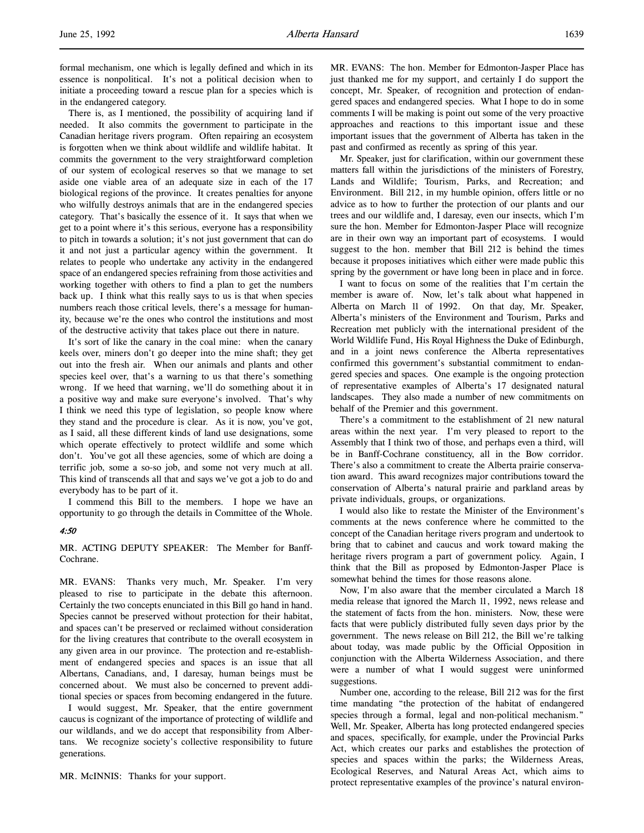formal mechanism, one which is legally defined and which in its essence is nonpolitical. It's not a political decision when to initiate a proceeding toward a rescue plan for a species which is in the endangered category.

There is, as I mentioned, the possibility of acquiring land if needed. It also commits the government to participate in the Canadian heritage rivers program. Often repairing an ecosystem is forgotten when we think about wildlife and wildlife habitat. It commits the government to the very straightforward completion of our system of ecological reserves so that we manage to set aside one viable area of an adequate size in each of the 17 biological regions of the province. It creates penalties for anyone who wilfully destroys animals that are in the endangered species category. That's basically the essence of it. It says that when we get to a point where it's this serious, everyone has a responsibility to pitch in towards a solution; it's not just government that can do it and not just a particular agency within the government. It relates to people who undertake any activity in the endangered space of an endangered species refraining from those activities and working together with others to find a plan to get the numbers back up. I think what this really says to us is that when species numbers reach those critical levels, there's a message for humanity, because we're the ones who control the institutions and most of the destructive activity that takes place out there in nature.

It's sort of like the canary in the coal mine: when the canary keels over, miners don't go deeper into the mine shaft; they get out into the fresh air. When our animals and plants and other species keel over, that's a warning to us that there's something wrong. If we heed that warning, we'll do something about it in a positive way and make sure everyone's involved. That's why I think we need this type of legislation, so people know where they stand and the procedure is clear. As it is now, you've got, as I said, all these different kinds of land use designations, some which operate effectively to protect wildlife and some which don't. You've got all these agencies, some of which are doing a terrific job, some a so-so job, and some not very much at all. This kind of transcends all that and says we've got a job to do and everybody has to be part of it.

I commend this Bill to the members. I hope we have an opportunity to go through the details in Committee of the Whole.

#### 4:50

MR. ACTING DEPUTY SPEAKER: The Member for Banff-Cochrane.

MR. EVANS: Thanks very much, Mr. Speaker. I'm very pleased to rise to participate in the debate this afternoon. Certainly the two concepts enunciated in this Bill go hand in hand. Species cannot be preserved without protection for their habitat, and spaces can't be preserved or reclaimed without consideration for the living creatures that contribute to the overall ecosystem in any given area in our province. The protection and re-establishment of endangered species and spaces is an issue that all Albertans, Canadians, and, I daresay, human beings must be concerned about. We must also be concerned to prevent additional species or spaces from becoming endangered in the future.

I would suggest, Mr. Speaker, that the entire government caucus is cognizant of the importance of protecting of wildlife and our wildlands, and we do accept that responsibility from Albertans. We recognize society's collective responsibility to future generations.

MR. McINNIS: Thanks for your support.

MR. EVANS: The hon. Member for Edmonton-Jasper Place has just thanked me for my support, and certainly I do support the concept, Mr. Speaker, of recognition and protection of endangered spaces and endangered species. What I hope to do in some comments I will be making is point out some of the very proactive approaches and reactions to this important issue and these important issues that the government of Alberta has taken in the past and confirmed as recently as spring of this year.

Mr. Speaker, just for clarification, within our government these matters fall within the jurisdictions of the ministers of Forestry, Lands and Wildlife; Tourism, Parks, and Recreation; and Environment. Bill 212, in my humble opinion, offers little or no advice as to how to further the protection of our plants and our trees and our wildlife and, I daresay, even our insects, which I'm sure the hon. Member for Edmonton-Jasper Place will recognize are in their own way an important part of ecosystems. I would suggest to the hon. member that Bill 212 is behind the times because it proposes initiatives which either were made public this spring by the government or have long been in place and in force.

I want to focus on some of the realities that I'm certain the member is aware of. Now, let's talk about what happened in Alberta on March 11 of 1992. On that day, Mr. Speaker, Alberta's ministers of the Environment and Tourism, Parks and Recreation met publicly with the international president of the World Wildlife Fund, His Royal Highness the Duke of Edinburgh, and in a joint news conference the Alberta representatives confirmed this government's substantial commitment to endangered species and spaces. One example is the ongoing protection of representative examples of Alberta's 17 designated natural landscapes. They also made a number of new commitments on behalf of the Premier and this government.

There's a commitment to the establishment of 21 new natural areas within the next year. I'm very pleased to report to the Assembly that I think two of those, and perhaps even a third, will be in Banff-Cochrane constituency, all in the Bow corridor. There's also a commitment to create the Alberta prairie conservation award. This award recognizes major contributions toward the conservation of Alberta's natural prairie and parkland areas by private individuals, groups, or organizations.

I would also like to restate the Minister of the Environment's comments at the news conference where he committed to the concept of the Canadian heritage rivers program and undertook to bring that to cabinet and caucus and work toward making the heritage rivers program a part of government policy. Again, I think that the Bill as proposed by Edmonton-Jasper Place is somewhat behind the times for those reasons alone.

Now, I'm also aware that the member circulated a March 18 media release that ignored the March 11, 1992, news release and the statement of facts from the hon. ministers. Now, these were facts that were publicly distributed fully seven days prior by the government. The news release on Bill 212, the Bill we're talking about today, was made public by the Official Opposition in conjunction with the Alberta Wilderness Association, and there were a number of what I would suggest were uninformed suggestions.

Number one, according to the release, Bill 212 was for the first time mandating "the protection of the habitat of endangered species through a formal, legal and non-political mechanism." Well, Mr. Speaker, Alberta has long protected endangered species and spaces, specifically, for example, under the Provincial Parks Act, which creates our parks and establishes the protection of species and spaces within the parks; the Wilderness Areas, Ecological Reserves, and Natural Areas Act, which aims to protect representative examples of the province's natural environ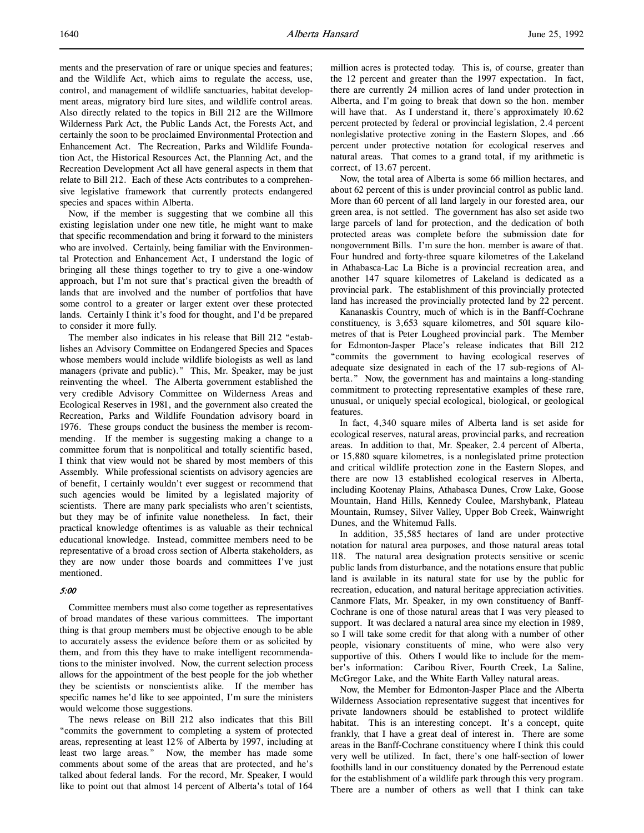ments and the preservation of rare or unique species and features; and the Wildlife Act, which aims to regulate the access, use, control, and management of wildlife sanctuaries, habitat development areas, migratory bird lure sites, and wildlife control areas. Also directly related to the topics in Bill 212 are the Willmore Wilderness Park Act, the Public Lands Act, the Forests Act, and certainly the soon to be proclaimed Environmental Protection and Enhancement Act. The Recreation, Parks and Wildlife Foundation Act, the Historical Resources Act, the Planning Act, and the Recreation Development Act all have general aspects in them that relate to Bill 212. Each of these Acts contributes to a comprehensive legislative framework that currently protects endangered species and spaces within Alberta.

Now, if the member is suggesting that we combine all this existing legislation under one new title, he might want to make that specific recommendation and bring it forward to the ministers who are involved. Certainly, being familiar with the Environmental Protection and Enhancement Act, I understand the logic of bringing all these things together to try to give a one-window approach, but I'm not sure that's practical given the breadth of lands that are involved and the number of portfolios that have some control to a greater or larger extent over these protected lands. Certainly I think it's food for thought, and I'd be prepared to consider it more fully.

The member also indicates in his release that Bill 212 "establishes an Advisory Committee on Endangered Species and Spaces whose members would include wildlife biologists as well as land managers (private and public)." This, Mr. Speaker, may be just reinventing the wheel. The Alberta government established the very credible Advisory Committee on Wilderness Areas and Ecological Reserves in 1981, and the government also created the Recreation, Parks and Wildlife Foundation advisory board in 1976. These groups conduct the business the member is recommending. If the member is suggesting making a change to a committee forum that is nonpolitical and totally scientific based, I think that view would not be shared by most members of this Assembly. While professional scientists on advisory agencies are of benefit, I certainly wouldn't ever suggest or recommend that such agencies would be limited by a legislated majority of scientists. There are many park specialists who aren't scientists, but they may be of infinite value nonetheless. In fact, their practical knowledge oftentimes is as valuable as their technical educational knowledge. Instead, committee members need to be representative of a broad cross section of Alberta stakeholders, as they are now under those boards and committees I've just mentioned.

# 5:00

Committee members must also come together as representatives of broad mandates of these various committees. The important thing is that group members must be objective enough to be able to accurately assess the evidence before them or as solicited by them, and from this they have to make intelligent recommendations to the minister involved. Now, the current selection process allows for the appointment of the best people for the job whether they be scientists or nonscientists alike. If the member has specific names he'd like to see appointed, I'm sure the ministers would welcome those suggestions.

The news release on Bill 212 also indicates that this Bill "commits the government to completing a system of protected areas, representing at least 12% of Alberta by 1997, including at least two large areas." Now, the member has made some comments about some of the areas that are protected, and he's talked about federal lands. For the record, Mr. Speaker, I would like to point out that almost 14 percent of Alberta's total of 164

million acres is protected today. This is, of course, greater than the 12 percent and greater than the 1997 expectation. In fact, there are currently 24 million acres of land under protection in Alberta, and I'm going to break that down so the hon. member will have that. As I understand it, there's approximately 10.62 percent protected by federal or provincial legislation, 2.4 percent nonlegislative protective zoning in the Eastern Slopes, and .66 percent under protective notation for ecological reserves and natural areas. That comes to a grand total, if my arithmetic is correct, of 13.67 percent.

Now, the total area of Alberta is some 66 million hectares, and about 62 percent of this is under provincial control as public land. More than 60 percent of all land largely in our forested area, our green area, is not settled. The government has also set aside two large parcels of land for protection, and the dedication of both protected areas was complete before the submission date for nongovernment Bills. I'm sure the hon. member is aware of that. Four hundred and forty-three square kilometres of the Lakeland in Athabasca-Lac La Biche is a provincial recreation area, and another 147 square kilometres of Lakeland is dedicated as a provincial park. The establishment of this provincially protected land has increased the provincially protected land by 22 percent.

Kananaskis Country, much of which is in the Banff-Cochrane constituency, is 3,653 square kilometres, and 501 square kilometres of that is Peter Lougheed provincial park. The Member for Edmonton-Jasper Place's release indicates that Bill 212 "commits the government to having ecological reserves of adequate size designated in each of the 17 sub-regions of Alberta." Now, the government has and maintains a long-standing commitment to protecting representative examples of these rare, unusual, or uniquely special ecological, biological, or geological features.

In fact, 4,340 square miles of Alberta land is set aside for ecological reserves, natural areas, provincial parks, and recreation areas. In addition to that, Mr. Speaker, 2.4 percent of Alberta, or 15,880 square kilometres, is a nonlegislated prime protection and critical wildlife protection zone in the Eastern Slopes, and there are now 13 established ecological reserves in Alberta, including Kootenay Plains, Athabasca Dunes, Crow Lake, Goose Mountain, Hand Hills, Kennedy Coulee, Marshybank, Plateau Mountain, Rumsey, Silver Valley, Upper Bob Creek, Wainwright Dunes, and the Whitemud Falls.

In addition, 35,585 hectares of land are under protective notation for natural area purposes, and those natural areas total 118. The natural area designation protects sensitive or scenic public lands from disturbance, and the notations ensure that public land is available in its natural state for use by the public for recreation, education, and natural heritage appreciation activities. Canmore Flats, Mr. Speaker, in my own constituency of Banff-Cochrane is one of those natural areas that I was very pleased to support. It was declared a natural area since my election in 1989, so I will take some credit for that along with a number of other people, visionary constituents of mine, who were also very supportive of this. Others I would like to include for the member's information: Caribou River, Fourth Creek, La Saline, McGregor Lake, and the White Earth Valley natural areas.

Now, the Member for Edmonton-Jasper Place and the Alberta Wilderness Association representative suggest that incentives for private landowners should be established to protect wildlife habitat. This is an interesting concept. It's a concept, quite frankly, that I have a great deal of interest in. There are some areas in the Banff-Cochrane constituency where I think this could very well be utilized. In fact, there's one half-section of lower foothills land in our constituency donated by the Perrenoud estate for the establishment of a wildlife park through this very program. There are a number of others as well that I think can take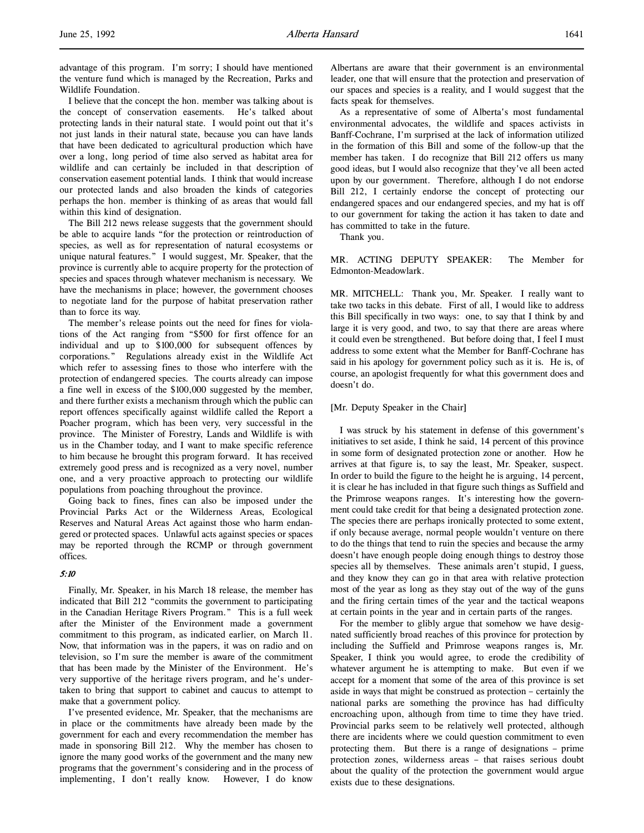advantage of this program. I'm sorry; I should have mentioned the venture fund which is managed by the Recreation, Parks and Wildlife Foundation.

I believe that the concept the hon. member was talking about is the concept of conservation easements. He's talked about protecting lands in their natural state. I would point out that it's not just lands in their natural state, because you can have lands that have been dedicated to agricultural production which have over a long, long period of time also served as habitat area for wildlife and can certainly be included in that description of conservation easement potential lands. I think that would increase our protected lands and also broaden the kinds of categories perhaps the hon. member is thinking of as areas that would fall within this kind of designation.

The Bill 212 news release suggests that the government should be able to acquire lands "for the protection or reintroduction of species, as well as for representation of natural ecosystems or unique natural features." I would suggest, Mr. Speaker, that the province is currently able to acquire property for the protection of species and spaces through whatever mechanism is necessary. We have the mechanisms in place; however, the government chooses to negotiate land for the purpose of habitat preservation rather than to force its way.

The member's release points out the need for fines for violations of the Act ranging from "\$500 for first offence for an individual and up to \$100,000 for subsequent offences by corporations." Regulations already exist in the Wildlife Act which refer to assessing fines to those who interfere with the protection of endangered species. The courts already can impose a fine well in excess of the \$100,000 suggested by the member, and there further exists a mechanism through which the public can report offences specifically against wildlife called the Report a Poacher program, which has been very, very successful in the province. The Minister of Forestry, Lands and Wildlife is with us in the Chamber today, and I want to make specific reference to him because he brought this program forward. It has received extremely good press and is recognized as a very novel, number one, and a very proactive approach to protecting our wildlife populations from poaching throughout the province.

Going back to fines, fines can also be imposed under the Provincial Parks Act or the Wilderness Areas, Ecological Reserves and Natural Areas Act against those who harm endangered or protected spaces. Unlawful acts against species or spaces may be reported through the RCMP or through government offices.

#### 5:10

Finally, Mr. Speaker, in his March 18 release, the member has indicated that Bill 212 "commits the government to participating in the Canadian Heritage Rivers Program." This is a full week after the Minister of the Environment made a government commitment to this program, as indicated earlier, on March 11. Now, that information was in the papers, it was on radio and on television, so I'm sure the member is aware of the commitment that has been made by the Minister of the Environment. He's very supportive of the heritage rivers program, and he's undertaken to bring that support to cabinet and caucus to attempt to make that a government policy.

I've presented evidence, Mr. Speaker, that the mechanisms are in place or the commitments have already been made by the government for each and every recommendation the member has made in sponsoring Bill 212. Why the member has chosen to ignore the many good works of the government and the many new programs that the government's considering and in the process of implementing, I don't really know. However, I do know

Albertans are aware that their government is an environmental leader, one that will ensure that the protection and preservation of our spaces and species is a reality, and I would suggest that the facts speak for themselves.

As a representative of some of Alberta's most fundamental environmental advocates, the wildlife and spaces activists in Banff-Cochrane, I'm surprised at the lack of information utilized in the formation of this Bill and some of the follow-up that the member has taken. I do recognize that Bill 212 offers us many good ideas, but I would also recognize that they've all been acted upon by our government. Therefore, although I do not endorse Bill 212, I certainly endorse the concept of protecting our endangered spaces and our endangered species, and my hat is off to our government for taking the action it has taken to date and has committed to take in the future.

Thank you.

MR. ACTING DEPUTY SPEAKER: The Member for Edmonton-Meadowlark.

MR. MITCHELL: Thank you, Mr. Speaker. I really want to take two tacks in this debate. First of all, I would like to address this Bill specifically in two ways: one, to say that I think by and large it is very good, and two, to say that there are areas where it could even be strengthened. But before doing that, I feel I must address to some extent what the Member for Banff-Cochrane has said in his apology for government policy such as it is. He is, of course, an apologist frequently for what this government does and doesn't do.

#### [Mr. Deputy Speaker in the Chair]

I was struck by his statement in defense of this government's initiatives to set aside, I think he said, 14 percent of this province in some form of designated protection zone or another. How he arrives at that figure is, to say the least, Mr. Speaker, suspect. In order to build the figure to the height he is arguing, 14 percent, it is clear he has included in that figure such things as Suffield and the Primrose weapons ranges. It's interesting how the government could take credit for that being a designated protection zone. The species there are perhaps ironically protected to some extent, if only because average, normal people wouldn't venture on there to do the things that tend to ruin the species and because the army doesn't have enough people doing enough things to destroy those species all by themselves. These animals aren't stupid, I guess, and they know they can go in that area with relative protection most of the year as long as they stay out of the way of the guns and the firing certain times of the year and the tactical weapons at certain points in the year and in certain parts of the ranges.

For the member to glibly argue that somehow we have designated sufficiently broad reaches of this province for protection by including the Suffield and Primrose weapons ranges is, Mr. Speaker, I think you would agree, to erode the credibility of whatever argument he is attempting to make. But even if we accept for a moment that some of the area of this province is set aside in ways that might be construed as protection – certainly the national parks are something the province has had difficulty encroaching upon, although from time to time they have tried. Provincial parks seem to be relatively well protected, although there are incidents where we could question commitment to even protecting them. But there is a range of designations – prime protection zones, wilderness areas – that raises serious doubt about the quality of the protection the government would argue exists due to these designations.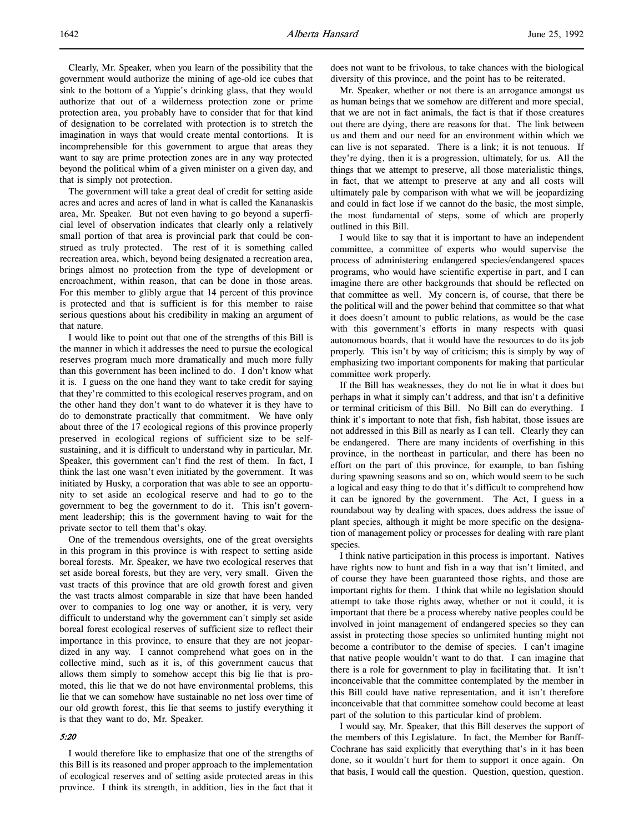Clearly, Mr. Speaker, when you learn of the possibility that the government would authorize the mining of age-old ice cubes that sink to the bottom of a Yuppie's drinking glass, that they would authorize that out of a wilderness protection zone or prime protection area, you probably have to consider that for that kind of designation to be correlated with protection is to stretch the imagination in ways that would create mental contortions. It is incomprehensible for this government to argue that areas they want to say are prime protection zones are in any way protected beyond the political whim of a given minister on a given day, and that is simply not protection.

The government will take a great deal of credit for setting aside acres and acres and acres of land in what is called the Kananaskis area, Mr. Speaker. But not even having to go beyond a superficial level of observation indicates that clearly only a relatively small portion of that area is provincial park that could be construed as truly protected. The rest of it is something called recreation area, which, beyond being designated a recreation area, brings almost no protection from the type of development or encroachment, within reason, that can be done in those areas. For this member to glibly argue that 14 percent of this province is protected and that is sufficient is for this member to raise serious questions about his credibility in making an argument of that nature.

I would like to point out that one of the strengths of this Bill is the manner in which it addresses the need to pursue the ecological reserves program much more dramatically and much more fully than this government has been inclined to do. I don't know what it is. I guess on the one hand they want to take credit for saying that they're committed to this ecological reserves program, and on the other hand they don't want to do whatever it is they have to do to demonstrate practically that commitment. We have only about three of the 17 ecological regions of this province properly preserved in ecological regions of sufficient size to be selfsustaining, and it is difficult to understand why in particular, Mr. Speaker, this government can't find the rest of them. In fact, I think the last one wasn't even initiated by the government. It was initiated by Husky, a corporation that was able to see an opportunity to set aside an ecological reserve and had to go to the government to beg the government to do it. This isn't government leadership; this is the government having to wait for the private sector to tell them that's okay.

One of the tremendous oversights, one of the great oversights in this program in this province is with respect to setting aside boreal forests. Mr. Speaker, we have two ecological reserves that set aside boreal forests, but they are very, very small. Given the vast tracts of this province that are old growth forest and given the vast tracts almost comparable in size that have been handed over to companies to log one way or another, it is very, very difficult to understand why the government can't simply set aside boreal forest ecological reserves of sufficient size to reflect their importance in this province, to ensure that they are not jeopardized in any way. I cannot comprehend what goes on in the collective mind, such as it is, of this government caucus that allows them simply to somehow accept this big lie that is promoted, this lie that we do not have environmental problems, this lie that we can somehow have sustainable no net loss over time of our old growth forest, this lie that seems to justify everything it is that they want to do, Mr. Speaker.

# 5:20

I would therefore like to emphasize that one of the strengths of this Bill is its reasoned and proper approach to the implementation of ecological reserves and of setting aside protected areas in this province. I think its strength, in addition, lies in the fact that it

does not want to be frivolous, to take chances with the biological diversity of this province, and the point has to be reiterated.

Mr. Speaker, whether or not there is an arrogance amongst us as human beings that we somehow are different and more special, that we are not in fact animals, the fact is that if those creatures out there are dying, there are reasons for that. The link between us and them and our need for an environment within which we can live is not separated. There is a link; it is not tenuous. If they're dying, then it is a progression, ultimately, for us. All the things that we attempt to preserve, all those materialistic things, in fact, that we attempt to preserve at any and all costs will ultimately pale by comparison with what we will be jeopardizing and could in fact lose if we cannot do the basic, the most simple, the most fundamental of steps, some of which are properly outlined in this Bill.

I would like to say that it is important to have an independent committee, a committee of experts who would supervise the process of administering endangered species/endangered spaces programs, who would have scientific expertise in part, and I can imagine there are other backgrounds that should be reflected on that committee as well. My concern is, of course, that there be the political will and the power behind that committee so that what it does doesn't amount to public relations, as would be the case with this government's efforts in many respects with quasi autonomous boards, that it would have the resources to do its job properly. This isn't by way of criticism; this is simply by way of emphasizing two important components for making that particular committee work properly.

If the Bill has weaknesses, they do not lie in what it does but perhaps in what it simply can't address, and that isn't a definitive or terminal criticism of this Bill. No Bill can do everything. I think it's important to note that fish, fish habitat, those issues are not addressed in this Bill as nearly as I can tell. Clearly they can be endangered. There are many incidents of overfishing in this province, in the northeast in particular, and there has been no effort on the part of this province, for example, to ban fishing during spawning seasons and so on, which would seem to be such a logical and easy thing to do that it's difficult to comprehend how it can be ignored by the government. The Act, I guess in a roundabout way by dealing with spaces, does address the issue of plant species, although it might be more specific on the designation of management policy or processes for dealing with rare plant species.

I think native participation in this process is important. Natives have rights now to hunt and fish in a way that isn't limited, and of course they have been guaranteed those rights, and those are important rights for them. I think that while no legislation should attempt to take those rights away, whether or not it could, it is important that there be a process whereby native peoples could be involved in joint management of endangered species so they can assist in protecting those species so unlimited hunting might not become a contributor to the demise of species. I can't imagine that native people wouldn't want to do that. I can imagine that there is a role for government to play in facilitating that. It isn't inconceivable that the committee contemplated by the member in this Bill could have native representation, and it isn't therefore inconceivable that that committee somehow could become at least part of the solution to this particular kind of problem.

I would say, Mr. Speaker, that this Bill deserves the support of the members of this Legislature. In fact, the Member for Banff-Cochrane has said explicitly that everything that's in it has been done, so it wouldn't hurt for them to support it once again. On that basis, I would call the question. Question, question, question.